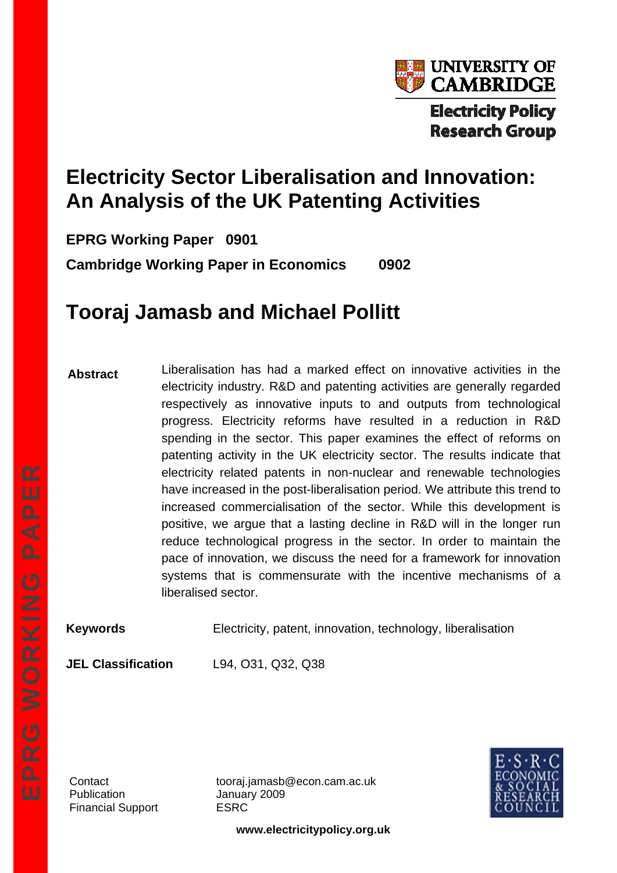

# **Electricity Sector Liberalisation and Innovation: An Analysis of the UK Patenting Activities**

**EPRG Working Paper 0901** 

**Cambridge Working Paper in Economics 0902** 

# **Tooraj Jamasb and Michael Pollitt**

**Abstract**  Liberalisation has had a marked effect on innovative activities in the electricity industry. R&D and patenting activities are generally regarded respectively as innovative inputs to and outputs from technological progress. Electricity reforms have resulted in a reduction in R&D spending in the sector. This paper examines the effect of reforms on patenting activity in the UK electricity sector. The results indicate that electricity related patents in non-nuclear and renewable technologies have increased in the post-liberalisation period. We attribute this trend to increased commercialisation of the sector. While this development is positive, we argue that a lasting decline in R&D will in the longer run reduce technological progress in the sector. In order to maintain the pace of innovation, we discuss the need for a framework for innovation systems that is commensurate with the incentive mechanisms of a liberalised sector.

**Keywords Electricity, patent, innovation, technology, liberalisation** 

**JEL Classification** L94, O31, Q32, Q38

Publication January 2009 Financial Support ESRC

Contact tooraj.jamasb@econ.cam.ac.uk



**www.electricitypolicy.org.uk**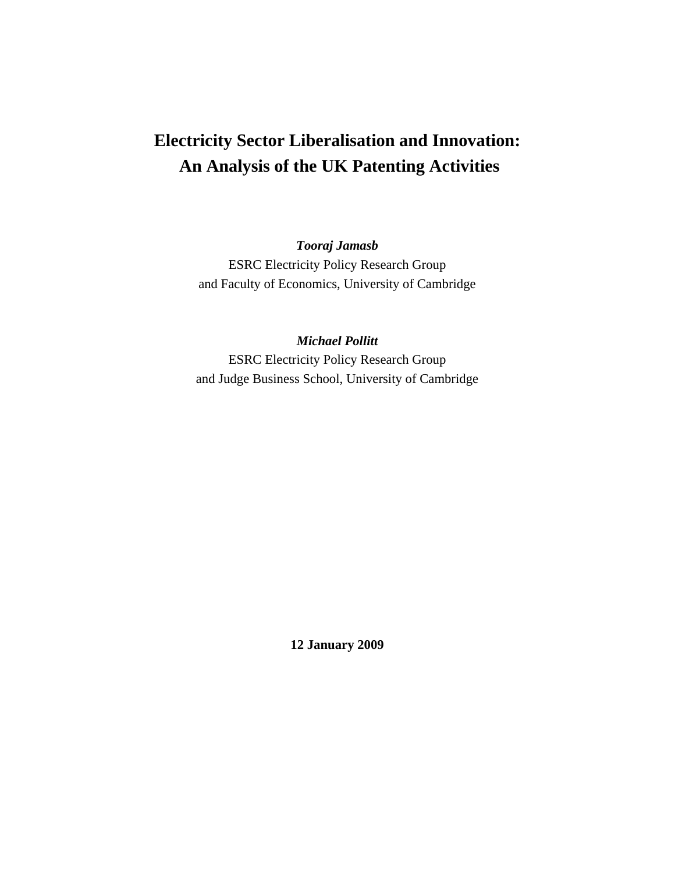## **Electricity Sector Liberalisation and Innovation: An Analysis of the UK Patenting Activities**

*Tooraj Jamasb* 

ESRC Electricity Policy Research Group and Faculty of Economics, University of Cambridge

*Michael Pollitt*  ESRC Electricity Policy Research Group and Judge Business School, University of Cambridge

**12 January 2009**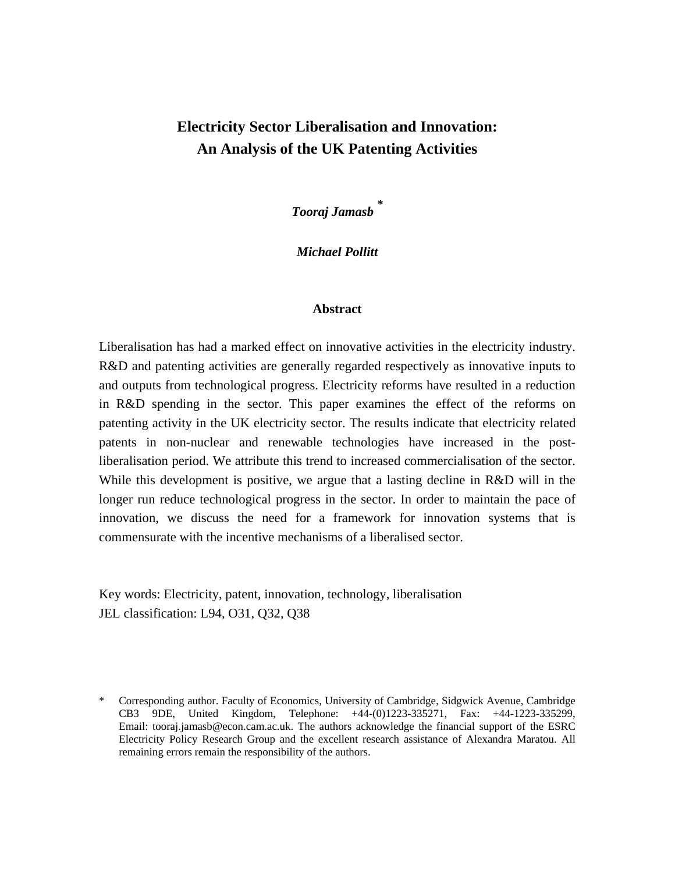## **Electricity Sector Liberalisation and Innovation: An Analysis of the UK Patenting Activities**

*Tooraj Jamasb \**

*Michael Pollitt* 

#### **Abstract**

Liberalisation has had a marked effect on innovative activities in the electricity industry. R&D and patenting activities are generally regarded respectively as innovative inputs to and outputs from technological progress. Electricity reforms have resulted in a reduction in R&D spending in the sector. This paper examines the effect of the reforms on patenting activity in the UK electricity sector. The results indicate that electricity related patents in non-nuclear and renewable technologies have increased in the postliberalisation period. We attribute this trend to increased commercialisation of the sector. While this development is positive, we argue that a lasting decline in R&D will in the longer run reduce technological progress in the sector. In order to maintain the pace of innovation, we discuss the need for a framework for innovation systems that is commensurate with the incentive mechanisms of a liberalised sector.

Key words: Electricity, patent, innovation, technology, liberalisation JEL classification: L94, O31, Q32, Q38

<sup>\*</sup> Corresponding author. Faculty of Economics, University of Cambridge, Sidgwick Avenue, Cambridge CB3 9DE, United Kingdom, Telephone: +44-(0)1223-335271, Fax: +44-1223-335299, Email: [tooraj.jamasb@econ.cam.ac.uk.](mailto:tooraj.jamasb@econ.cam.ac.uk) The authors acknowledge the financial support of the ESRC Electricity Policy Research Group and the excellent research assistance of Alexandra Maratou. All remaining errors remain the responsibility of the authors.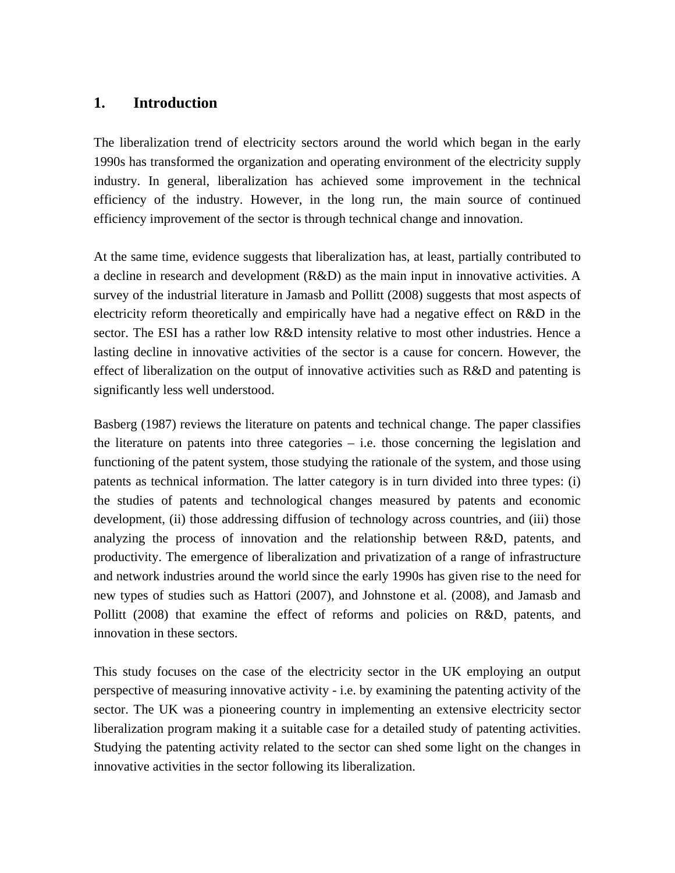## **1. Introduction**

The liberalization trend of electricity sectors around the world which began in the early 1990s has transformed the organization and operating environment of the electricity supply industry. In general, liberalization has achieved some improvement in the technical efficiency of the industry. However, in the long run, the main source of continued efficiency improvement of the sector is through technical change and innovation.

At the same time, evidence suggests that liberalization has, at least, partially contributed to a decline in research and development (R&D) as the main input in innovative activities. A survey of the industrial literature in Jamasb and Pollitt (2008) suggests that most aspects of electricity reform theoretically and empirically have had a negative effect on R&D in the sector. The ESI has a rather low R&D intensity relative to most other industries. Hence a lasting decline in innovative activities of the sector is a cause for concern. However, the effect of liberalization on the output of innovative activities such as R&D and patenting is significantly less well understood.

Basberg (1987) reviews the literature on patents and technical change. The paper classifies the literature on patents into three categories – i.e. those concerning the legislation and functioning of the patent system, those studying the rationale of the system, and those using patents as technical information. The latter category is in turn divided into three types: (i) the studies of patents and technological changes measured by patents and economic development, (ii) those addressing diffusion of technology across countries, and (iii) those analyzing the process of innovation and the relationship between R&D, patents, and productivity. The emergence of liberalization and privatization of a range of infrastructure and network industries around the world since the early 1990s has given rise to the need for new types of studies such as Hattori (2007), and Johnstone et al. (2008), and Jamasb and Pollitt (2008) that examine the effect of reforms and policies on R&D, patents, and innovation in these sectors.

This study focuses on the case of the electricity sector in the UK employing an output perspective of measuring innovative activity - i.e. by examining the patenting activity of the sector. The UK was a pioneering country in implementing an extensive electricity sector liberalization program making it a suitable case for a detailed study of patenting activities. Studying the patenting activity related to the sector can shed some light on the changes in innovative activities in the sector following its liberalization.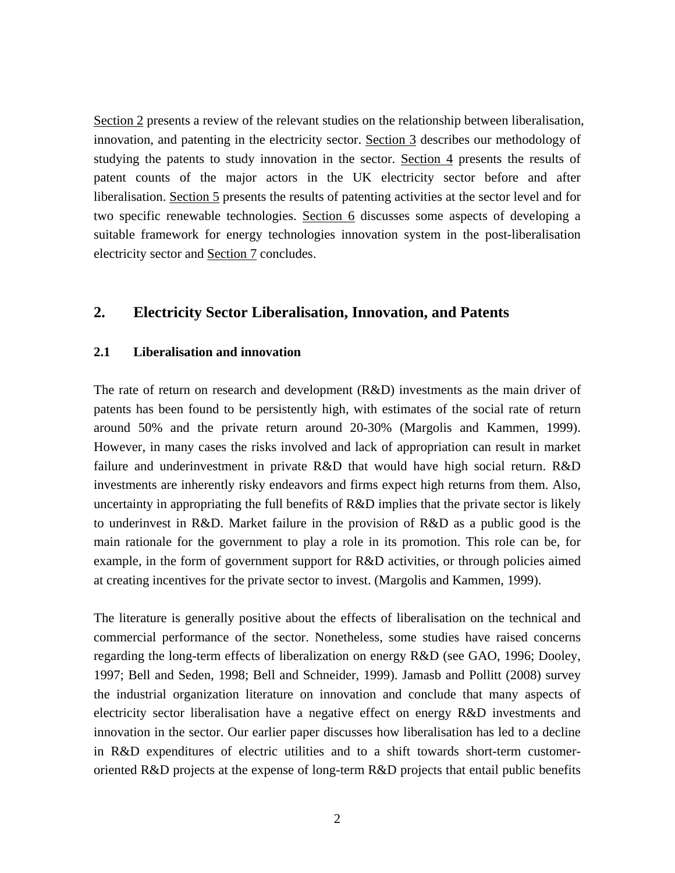Section 2 presents a review of the relevant studies on the relationship between liberalisation, innovation, and patenting in the electricity sector. Section 3 describes our methodology of studying the patents to study innovation in the sector. Section 4 presents the results of patent counts of the major actors in the UK electricity sector before and after liberalisation. Section 5 presents the results of patenting activities at the sector level and for two specific renewable technologies. Section 6 discusses some aspects of developing a suitable framework for energy technologies innovation system in the post-liberalisation electricity sector and Section 7 concludes.

## **2. Electricity Sector Liberalisation, Innovation, and Patents**

#### **2.1 Liberalisation and innovation**

The rate of return on research and development (R&D) investments as the main driver of patents has been found to be persistently high, with estimates of the social rate of return around 50% and the private return around 20-30% (Margolis and Kammen, 1999). However, in many cases the risks involved and lack of appropriation can result in market failure and underinvestment in private R&D that would have high social return. R&D investments are inherently risky endeavors and firms expect high returns from them. Also, uncertainty in appropriating the full benefits of R&D implies that the private sector is likely to underinvest in R&D. Market failure in the provision of R&D as a public good is the main rationale for the government to play a role in its promotion. This role can be, for example, in the form of government support for R&D activities, or through policies aimed at creating incentives for the private sector to invest. (Margolis and Kammen, 1999).

The literature is generally positive about the effects of liberalisation on the technical and commercial performance of the sector. Nonetheless, some studies have raised concerns regarding the long-term effects of liberalization on energy R&D (see GAO, 1996; Dooley, 1997; Bell and Seden, 1998; Bell and Schneider, 1999). Jamasb and Pollitt (2008) survey the industrial organization literature on innovation and conclude that many aspects of electricity sector liberalisation have a negative effect on energy R&D investments and innovation in the sector. Our earlier paper discusses how liberalisation has led to a decline in R&D expenditures of electric utilities and to a shift towards short-term customeroriented R&D projects at the expense of long-term R&D projects that entail public benefits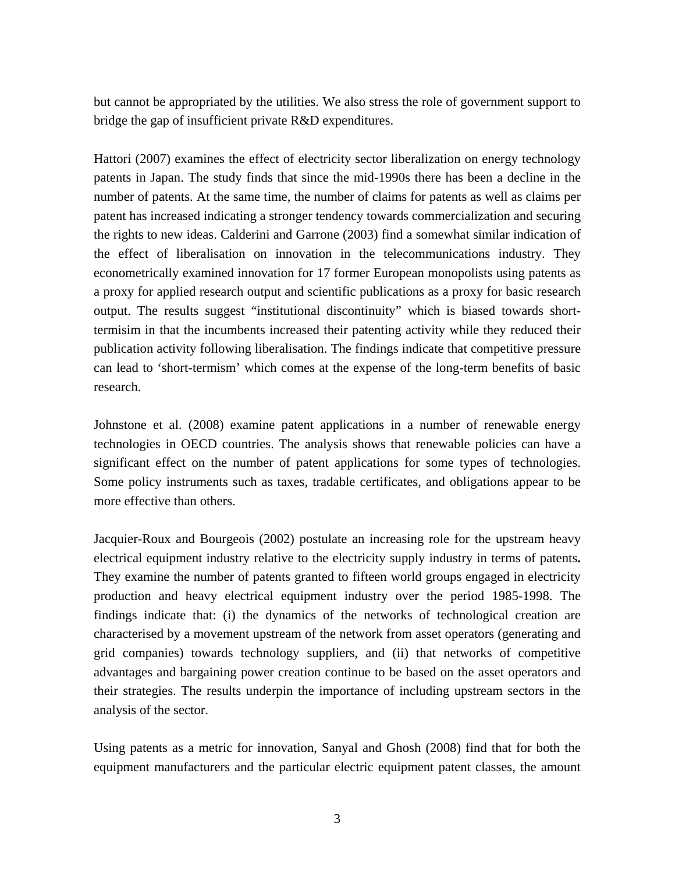but cannot be appropriated by the utilities. We also stress the role of government support to bridge the gap of insufficient private R&D expenditures.

Hattori (2007) examines the effect of electricity sector liberalization on energy technology patents in Japan. The study finds that since the mid-1990s there has been a decline in the number of patents. At the same time, the number of claims for patents as well as claims per patent has increased indicating a stronger tendency towards commercialization and securing the rights to new ideas. Calderini and Garrone (2003) find a somewhat similar indication of the effect of liberalisation on innovation in the telecommunications industry. They econometrically examined innovation for 17 former European monopolists using patents as a proxy for applied research output and scientific publications as a proxy for basic research output. The results suggest "institutional discontinuity" which is biased towards shorttermisim in that the incumbents increased their patenting activity while they reduced their publication activity following liberalisation. The findings indicate that competitive pressure can lead to 'short-termism' which comes at the expense of the long-term benefits of basic research.

Johnstone et al. (2008) examine patent applications in a number of renewable energy technologies in OECD countries. The analysis shows that renewable policies can have a significant effect on the number of patent applications for some types of technologies. Some policy instruments such as taxes, tradable certificates, and obligations appear to be more effective than others.

Jacquier-Roux and Bourgeois (2002) postulate an increasing role for the upstream heavy electrical equipment industry relative to the electricity supply industry in terms of patents**.** They examine the number of patents granted to fifteen world groups engaged in electricity production and heavy electrical equipment industry over the period 1985-1998. The findings indicate that: (i) the dynamics of the networks of technological creation are characterised by a movement upstream of the network from asset operators (generating and grid companies) towards technology suppliers, and (ii) that networks of competitive advantages and bargaining power creation continue to be based on the asset operators and their strategies. The results underpin the importance of including upstream sectors in the analysis of the sector.

Using patents as a metric for innovation, Sanyal and Ghosh (2008) find that for both the equipment manufacturers and the particular electric equipment patent classes, the amount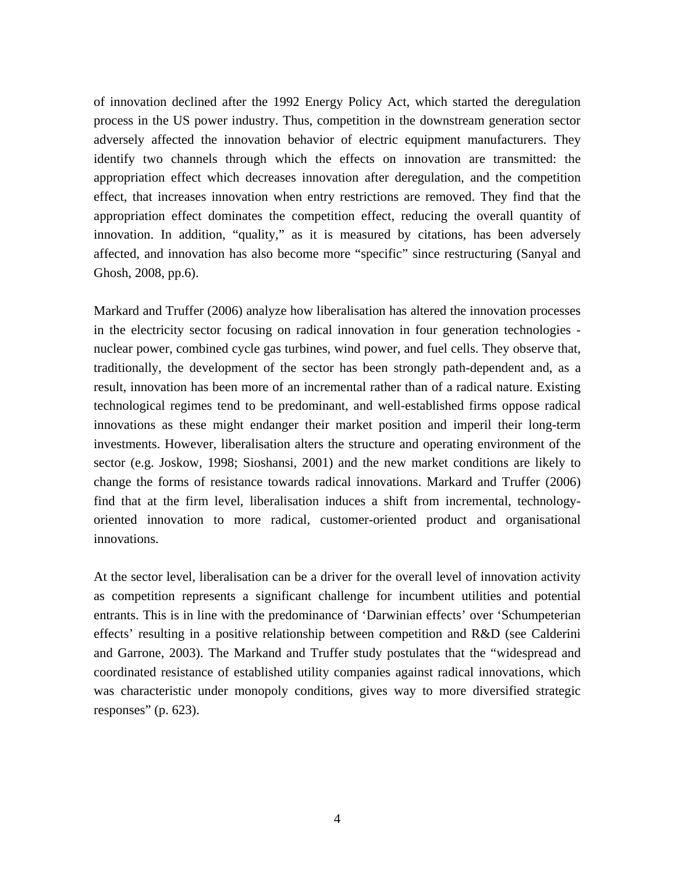of innovation declined after the 1992 Energy Policy Act, which started the deregulation process in the US power industry. Thus, competition in the downstream generation sector adversely affected the innovation behavior of electric equipment manufacturers. They identify two channels through which the effects on innovation are transmitted: the appropriation effect which decreases innovation after deregulation, and the competition effect, that increases innovation when entry restrictions are removed. They find that the appropriation effect dominates the competition effect, reducing the overall quantity of innovation. In addition, "quality," as it is measured by citations, has been adversely affected, and innovation has also become more "specific" since restructuring (Sanyal and Ghosh, 2008, pp.6).

Markard and Truffer (2006) analyze how liberalisation has altered the innovation processes in the electricity sector focusing on radical innovation in four generation technologies nuclear power, combined cycle gas turbines, wind power, and fuel cells. They observe that, traditionally, the development of the sector has been strongly path-dependent and, as a result, innovation has been more of an incremental rather than of a radical nature. Existing technological regimes tend to be predominant, and well-established firms oppose radical innovations as these might endanger their market position and imperil their long-term investments. However, liberalisation alters the structure and operating environment of the sector (e.g. Joskow, 1998; Sioshansi, 2001) and the new market conditions are likely to change the forms of resistance towards radical innovations. Markard and Truffer (2006) find that at the firm level, liberalisation induces a shift from incremental, technologyoriented innovation to more radical, customer-oriented product and organisational innovations.

At the sector level, liberalisation can be a driver for the overall level of innovation activity as competition represents a significant challenge for incumbent utilities and potential entrants. This is in line with the predominance of 'Darwinian effects' over 'Schumpeterian effects' resulting in a positive relationship between competition and R&D (see Calderini and Garrone, 2003). The Markand and Truffer study postulates that the "widespread and coordinated resistance of established utility companies against radical innovations, which was characteristic under monopoly conditions, gives way to more diversified strategic responses" (p. 623).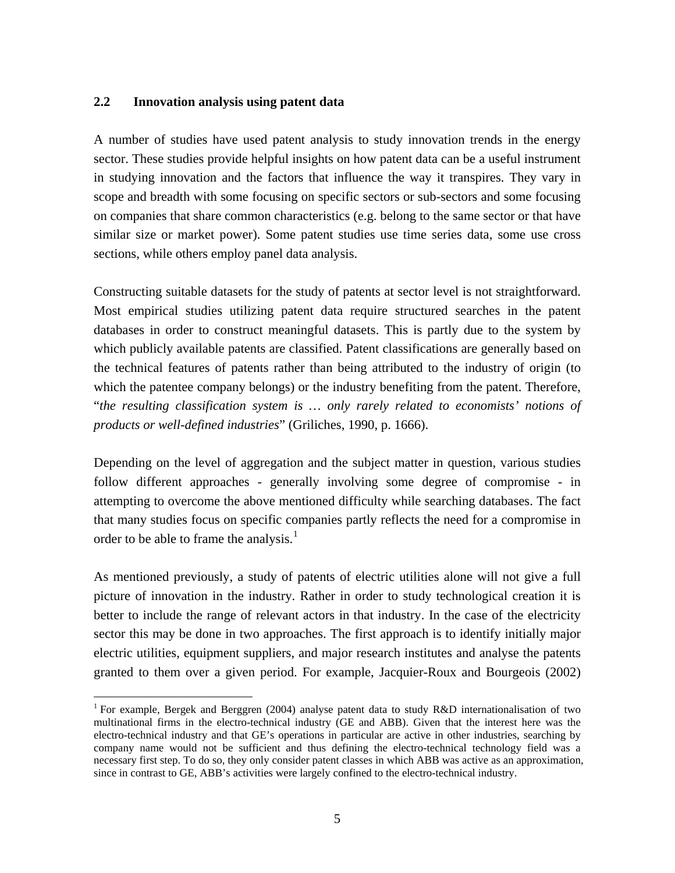#### **2.2 Innovation analysis using patent data**

<u>.</u>

A number of studies have used patent analysis to study innovation trends in the energy sector. These studies provide helpful insights on how patent data can be a useful instrument in studying innovation and the factors that influence the way it transpires. They vary in scope and breadth with some focusing on specific sectors or sub-sectors and some focusing on companies that share common characteristics (e.g. belong to the same sector or that have similar size or market power). Some patent studies use time series data, some use cross sections, while others employ panel data analysis.

Constructing suitable datasets for the study of patents at sector level is not straightforward. Most empirical studies utilizing patent data require structured searches in the patent databases in order to construct meaningful datasets. This is partly due to the system by which publicly available patents are classified. Patent classifications are generally based on the technical features of patents rather than being attributed to the industry of origin (to which the patentee company belongs) or the industry benefiting from the patent. Therefore, "*the resulting classification system is … only rarely related to economists' notions of products or well-defined industries*" (Griliches, 1990, p. 1666).

Depending on the level of aggregation and the subject matter in question, various studies follow different approaches - generally involving some degree of compromise - in attempting to overcome the above mentioned difficulty while searching databases. The fact that many studies focus on specific companies partly reflects the need for a compromise in order to be able to frame the analysis.<sup>[1](#page-7-0)</sup>

As mentioned previously, a study of patents of electric utilities alone will not give a full picture of innovation in the industry. Rather in order to study technological creation it is better to include the range of relevant actors in that industry. In the case of the electricity sector this may be done in two approaches. The first approach is to identify initially major electric utilities, equipment suppliers, and major research institutes and analyse the patents granted to them over a given period. For example, Jacquier-Roux and Bourgeois (2002)

<span id="page-7-0"></span><sup>&</sup>lt;sup>1</sup> For example, Bergek and Berggren (2004) analyse patent data to study R&D internationalisation of two multinational firms in the electro-technical industry (GE and ABB). Given that the interest here was the electro-technical industry and that GE's operations in particular are active in other industries, searching by company name would not be sufficient and thus defining the electro-technical technology field was a necessary first step. To do so, they only consider patent classes in which ABB was active as an approximation, since in contrast to GE, ABB's activities were largely confined to the electro-technical industry.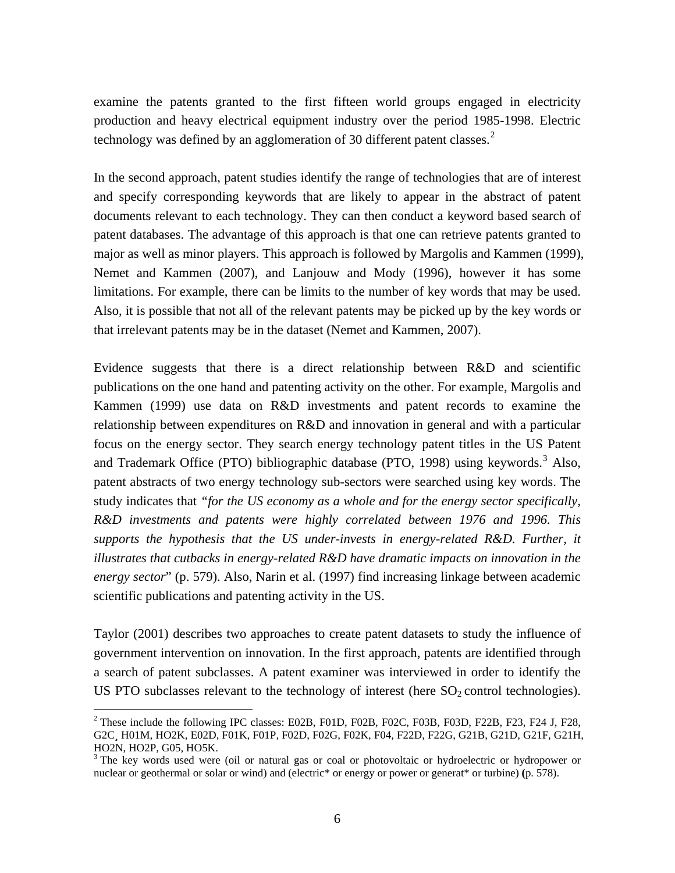examine the patents granted to the first fifteen world groups engaged in electricity production and heavy electrical equipment industry over the period 1985-1998. Electric technology was defined by an agglomeration of 30 different patent classes.<sup>[2](#page-8-0)</sup>

In the second approach, patent studies identify the range of technologies that are of interest and specify corresponding keywords that are likely to appear in the abstract of patent documents relevant to each technology. They can then conduct a keyword based search of patent databases. The advantage of this approach is that one can retrieve patents granted to major as well as minor players. This approach is followed by Margolis and Kammen (1999), Nemet and Kammen (2007), and Lanjouw and Mody (1996), however it has some limitations. For example, there can be limits to the number of key words that may be used. Also, it is possible that not all of the relevant patents may be picked up by the key words or that irrelevant patents may be in the dataset (Nemet and Kammen, 2007).

Evidence suggests that there is a direct relationship between R&D and scientific publications on the one hand and patenting activity on the other. For example, Margolis and Kammen (1999) use data on R&D investments and patent records to examine the relationship between expenditures on R&D and innovation in general and with a particular focus on the energy sector. They search energy technology patent titles in the US Patent and Trademark Office (PTO) bibliographic database (PTO, 1998) using keywords.<sup>[3](#page-8-1)</sup> Also, patent abstracts of two energy technology sub-sectors were searched using key words. The study indicates that *"for the US economy as a whole and for the energy sector specifically, R&D investments and patents were highly correlated between 1976 and 1996. This supports the hypothesis that the US under-invests in energy-related R&D. Further, it illustrates that cutbacks in energy-related R&D have dramatic impacts on innovation in the energy sector*" (p. 579). Also, Narin et al. (1997) find increasing linkage between academic scientific publications and patenting activity in the US.

Taylor (2001) describes two approaches to create patent datasets to study the influence of government intervention on innovation. In the first approach, patents are identified through a search of patent subclasses. A patent examiner was interviewed in order to identify the US PTO subclasses relevant to the technology of interest (here  $SO<sub>2</sub>$  control technologies).

1

<span id="page-8-0"></span><sup>&</sup>lt;sup>2</sup> These include the following IPC classes: E02B, F01D, F02B, F02C, F03B, F03D, F22B, F23, F24 J, F28, G2C¸ H01M, HO2K, E02D, F01K, F01P, F02D, F02G, F02K, F04, F22D, F22G, G21B, G21D, G21F, G21H, HO2N, HO2P, G05, HO5K.

<span id="page-8-1"></span><sup>&</sup>lt;sup>3</sup> The key words used were (oil or natural gas or coal or photovoltaic or hydroelectric or hydropower or nuclear or geothermal or solar or wind) and (electric\* or energy or power or generat\* or turbine) **(**p. 578).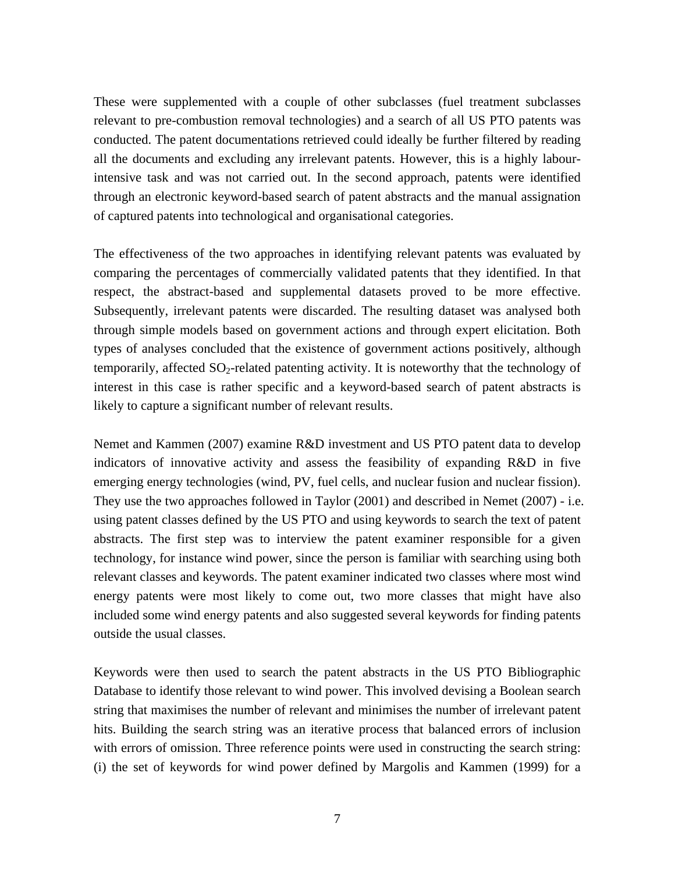These were supplemented with a couple of other subclasses (fuel treatment subclasses relevant to pre-combustion removal technologies) and a search of all US PTO patents was conducted. The patent documentations retrieved could ideally be further filtered by reading all the documents and excluding any irrelevant patents. However, this is a highly labourintensive task and was not carried out. In the second approach, patents were identified through an electronic keyword-based search of patent abstracts and the manual assignation of captured patents into technological and organisational categories.

The effectiveness of the two approaches in identifying relevant patents was evaluated by comparing the percentages of commercially validated patents that they identified. In that respect, the abstract-based and supplemental datasets proved to be more effective. Subsequently, irrelevant patents were discarded. The resulting dataset was analysed both through simple models based on government actions and through expert elicitation. Both types of analyses concluded that the existence of government actions positively, although temporarily, affected  $SO_2$ -related patenting activity. It is noteworthy that the technology of interest in this case is rather specific and a keyword-based search of patent abstracts is likely to capture a significant number of relevant results.

Nemet and Kammen (2007) examine R&D investment and US PTO patent data to develop indicators of innovative activity and assess the feasibility of expanding R&D in five emerging energy technologies (wind, PV, fuel cells, and nuclear fusion and nuclear fission). They use the two approaches followed in Taylor (2001) and described in Nemet (2007) - i.e. using patent classes defined by the US PTO and using keywords to search the text of patent abstracts. The first step was to interview the patent examiner responsible for a given technology, for instance wind power, since the person is familiar with searching using both relevant classes and keywords. The patent examiner indicated two classes where most wind energy patents were most likely to come out, two more classes that might have also included some wind energy patents and also suggested several keywords for finding patents outside the usual classes.

Keywords were then used to search the patent abstracts in the US PTO Bibliographic Database to identify those relevant to wind power. This involved devising a Boolean search string that maximises the number of relevant and minimises the number of irrelevant patent hits. Building the search string was an iterative process that balanced errors of inclusion with errors of omission. Three reference points were used in constructing the search string: (i) the set of keywords for wind power defined by Margolis and Kammen (1999) for a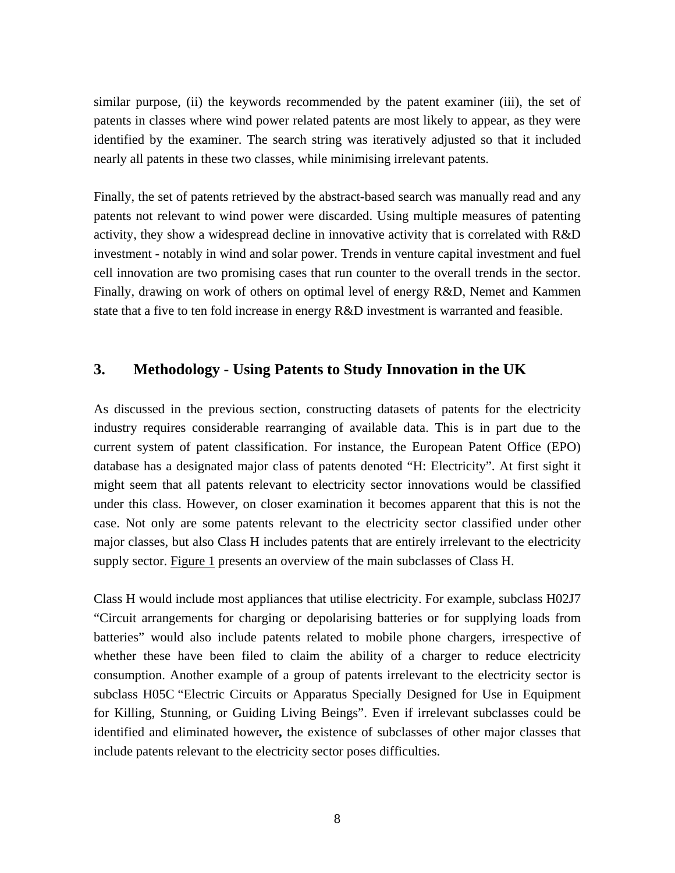similar purpose, (ii) the keywords recommended by the patent examiner (iii), the set of patents in classes where wind power related patents are most likely to appear, as they were identified by the examiner. The search string was iteratively adjusted so that it included nearly all patents in these two classes, while minimising irrelevant patents.

Finally, the set of patents retrieved by the abstract-based search was manually read and any patents not relevant to wind power were discarded. Using multiple measures of patenting activity, they show a widespread decline in innovative activity that is correlated with R&D investment - notably in wind and solar power. Trends in venture capital investment and fuel cell innovation are two promising cases that run counter to the overall trends in the sector. Finally, drawing on work of others on optimal level of energy R&D, Nemet and Kammen state that a five to ten fold increase in energy R&D investment is warranted and feasible.

## **3. Methodology - Using Patents to Study Innovation in the UK**

As discussed in the previous section, constructing datasets of patents for the electricity industry requires considerable rearranging of available data. This is in part due to the current system of patent classification. For instance, the European Patent Office (EPO) database has a designated major class of patents denoted "H: Electricity". At first sight it might seem that all patents relevant to electricity sector innovations would be classified under this class. However, on closer examination it becomes apparent that this is not the case. Not only are some patents relevant to the electricity sector classified under other major classes, but also Class H includes patents that are entirely irrelevant to the electricity supply sector. Figure 1 presents an overview of the main subclasses of Class H.

Class H would include most appliances that utilise electricity. For example, subclass H02J7 "Circuit arrangements for charging or depolarising batteries or for supplying loads from batteries" would also include patents related to mobile phone chargers, irrespective of whether these have been filed to claim the ability of a charger to reduce electricity consumption. Another example of a group of patents irrelevant to the electricity sector is subclass H05C "Electric Circuits or Apparatus Specially Designed for Use in Equipment for Killing, Stunning, or Guiding Living Beings". Even if irrelevant subclasses could be identified and eliminated however**,** the existence of subclasses of other major classes that include patents relevant to the electricity sector poses difficulties.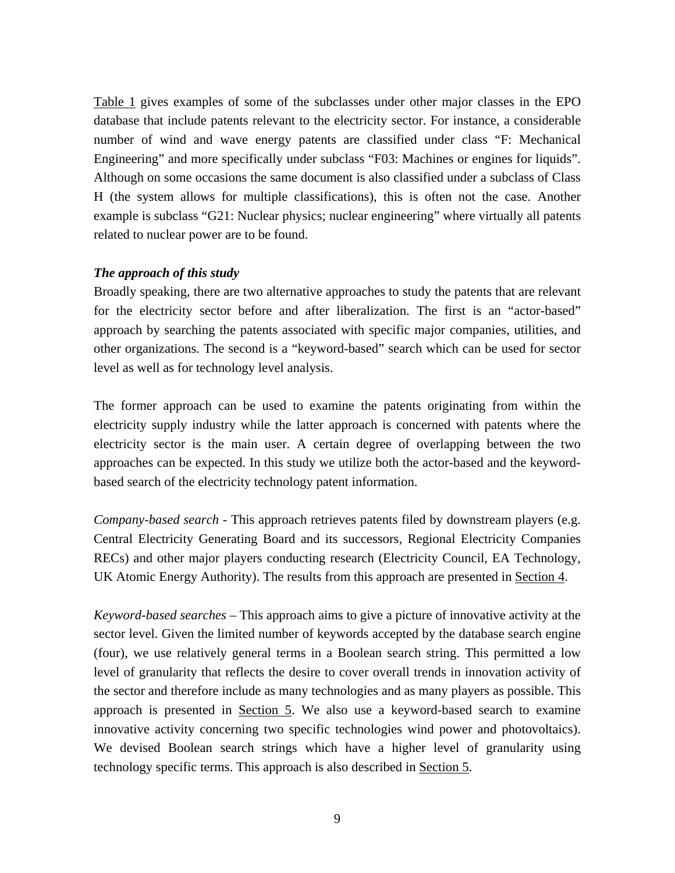Table 1 gives examples of some of the subclasses under other major classes in the EPO database that include patents relevant to the electricity sector. For instance, a considerable number of wind and wave energy patents are classified under class "F: Mechanical Engineering" and more specifically under subclass "F03: Machines or engines for liquids". Although on some occasions the same document is also classified under a subclass of Class H (the system allows for multiple classifications), this is often not the case. Another example is subclass "G21: Nuclear physics; nuclear engineering" where virtually all patents related to nuclear power are to be found.

#### *The approach of this study*

Broadly speaking, there are two alternative approaches to study the patents that are relevant for the electricity sector before and after liberalization. The first is an "actor-based" approach by searching the patents associated with specific major companies, utilities, and other organizations. The second is a "keyword-based" search which can be used for sector level as well as for technology level analysis.

The former approach can be used to examine the patents originating from within the electricity supply industry while the latter approach is concerned with patents where the electricity sector is the main user. A certain degree of overlapping between the two approaches can be expected. In this study we utilize both the actor-based and the keywordbased search of the electricity technology patent information.

*Company-based search* - This approach retrieves patents filed by downstream players (e.g. Central Electricity Generating Board and its successors, Regional Electricity Companies RECs) and other major players conducting research (Electricity Council, EA Technology, UK Atomic Energy Authority). The results from this approach are presented in Section 4.

*Keyword-based searches* – This approach aims to give a picture of innovative activity at the sector level. Given the limited number of keywords accepted by the database search engine (four), we use relatively general terms in a Boolean search string. This permitted a low level of granularity that reflects the desire to cover overall trends in innovation activity of the sector and therefore include as many technologies and as many players as possible. This approach is presented in Section 5. We also use a keyword-based search to examine innovative activity concerning two specific technologies wind power and photovoltaics). We devised Boolean search strings which have a higher level of granularity using technology specific terms. This approach is also described in Section 5.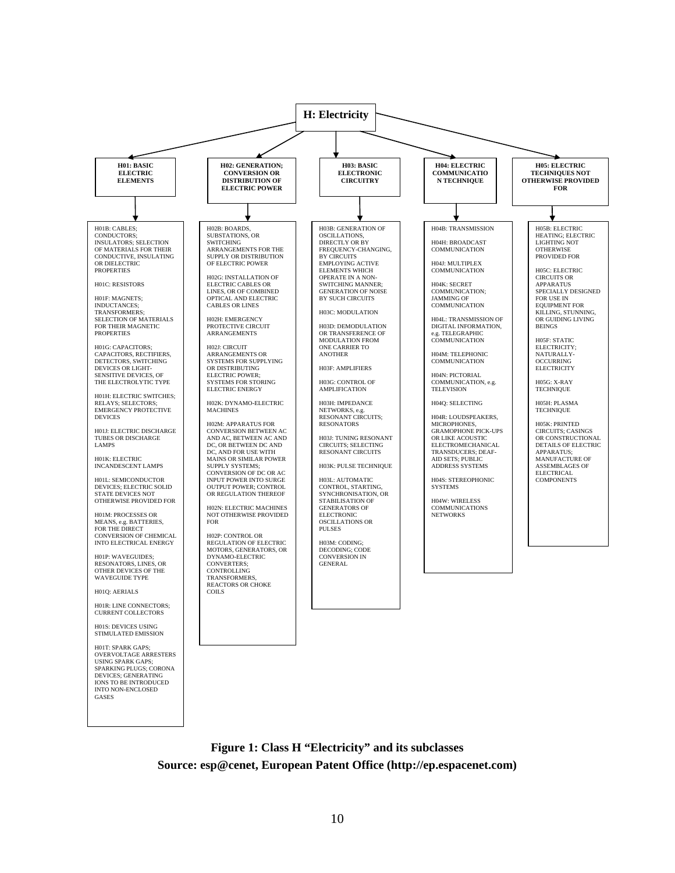

**Figure 1: Class H "Electricity" and its subclasses Source: esp@cenet, European Patent Office ([http://ep.espacenet.com](http://ep.espacenet.com/))**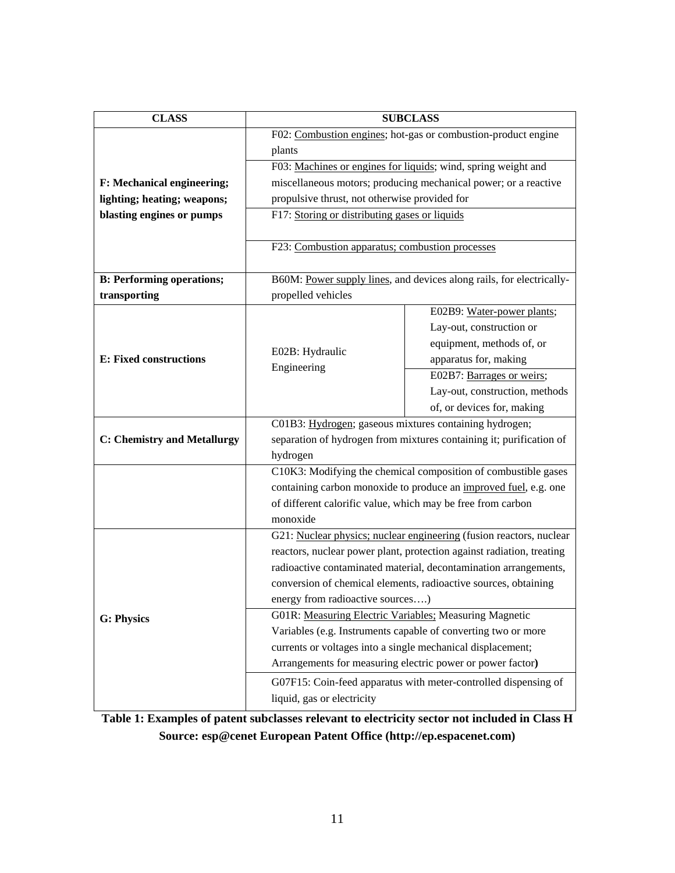| <b>CLASS</b>                       | <b>SUBCLASS</b>                                                         |                                                                     |  |
|------------------------------------|-------------------------------------------------------------------------|---------------------------------------------------------------------|--|
|                                    | F02: Combustion engines; hot-gas or combustion-product engine           |                                                                     |  |
|                                    | plants                                                                  |                                                                     |  |
|                                    |                                                                         | F03: Machines or engines for liquids; wind, spring weight and       |  |
| F: Mechanical engineering;         | miscellaneous motors; producing mechanical power; or a reactive         |                                                                     |  |
| lighting; heating; weapons;        | propulsive thrust, not otherwise provided for                           |                                                                     |  |
| blasting engines or pumps          | F17: Storing or distributing gases or liquids                           |                                                                     |  |
|                                    |                                                                         |                                                                     |  |
|                                    | F23: Combustion apparatus; combustion processes                         |                                                                     |  |
| <b>B: Performing operations;</b>   | B60M: Power supply lines, and devices along rails, for electrically-    |                                                                     |  |
| transporting                       | propelled vehicles                                                      |                                                                     |  |
|                                    |                                                                         | E02B9: Water-power plants;                                          |  |
|                                    | E02B: Hydraulic                                                         | Lay-out, construction or                                            |  |
|                                    |                                                                         | equipment, methods of, or                                           |  |
| E: Fixed constructions             | Engineering                                                             | apparatus for, making                                               |  |
|                                    |                                                                         | E02B7: Barrages or weirs;                                           |  |
|                                    |                                                                         | Lay-out, construction, methods                                      |  |
|                                    |                                                                         | of, or devices for, making                                          |  |
| <b>C: Chemistry and Metallurgy</b> | C01B3: Hydrogen; gaseous mixtures containing hydrogen;                  |                                                                     |  |
|                                    | separation of hydrogen from mixtures containing it; purification of     |                                                                     |  |
|                                    | hydrogen                                                                |                                                                     |  |
|                                    | C10K3: Modifying the chemical composition of combustible gases          |                                                                     |  |
|                                    | containing carbon monoxide to produce an improved fuel, e.g. one        |                                                                     |  |
|                                    | of different calorific value, which may be free from carbon<br>monoxide |                                                                     |  |
|                                    |                                                                         | G21: Nuclear physics; nuclear engineering (fusion reactors, nuclear |  |
|                                    | reactors, nuclear power plant, protection against radiation, treating   |                                                                     |  |
|                                    | radioactive contaminated material, decontamination arrangements,        |                                                                     |  |
|                                    | conversion of chemical elements, radioactive sources, obtaining         |                                                                     |  |
|                                    | energy from radioactive sources)                                        |                                                                     |  |
| <b>G: Physics</b>                  | G01R: Measuring Electric Variables: Measuring Magnetic                  |                                                                     |  |
|                                    | Variables (e.g. Instruments capable of converting two or more           |                                                                     |  |
|                                    | currents or voltages into a single mechanical displacement;             |                                                                     |  |
|                                    | Arrangements for measuring electric power or power factor)              |                                                                     |  |
|                                    | G07F15: Coin-feed apparatus with meter-controlled dispensing of         |                                                                     |  |
|                                    | liquid, gas or electricity                                              |                                                                     |  |

**Table 1: Examples of patent subclasses relevant to electricity sector not included in Class H Source: esp@cenet European Patent Office [\(http://ep.espacenet.com\)](http://ep.espacenet.com/)**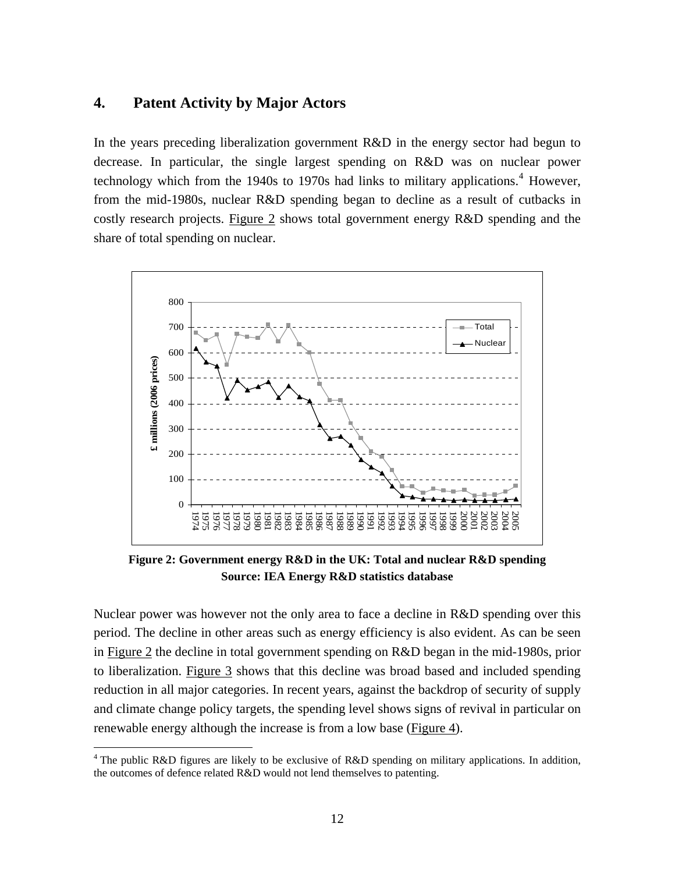## **4. Patent Activity by Major Actors**

In the years preceding liberalization government R&D in the energy sector had begun to decrease. In particular, the single largest spending on R&D was on nuclear power technology which from the 19[4](#page-14-0)0s to 1970s had links to military applications.<sup>4</sup> However, from the mid-1980s, nuclear R&D spending began to decline as a result of cutbacks in costly research projects. Figure 2 shows total government energy R&D spending and the share of total spending on nuclear.



**Figure 2: Government energy R&D in the UK: Total and nuclear R&D spending Source: IEA Energy R&D statistics database** 

Nuclear power was however not the only area to face a decline in R&D spending over this period. The decline in other areas such as energy efficiency is also evident. As can be seen in Figure 2 the decline in total government spending on R&D began in the mid-1980s, prior to liberalization. Figure 3 shows that this decline was broad based and included spending reduction in all major categories. In recent years, against the backdrop of security of supply and climate change policy targets, the spending level shows signs of revival in particular on renewable energy although the increase is from a low base (Figure 4).

1

<span id="page-14-0"></span><sup>&</sup>lt;sup>4</sup> The public R&D figures are likely to be exclusive of R&D spending on military applications. In addition, the outcomes of defence related R&D would not lend themselves to patenting.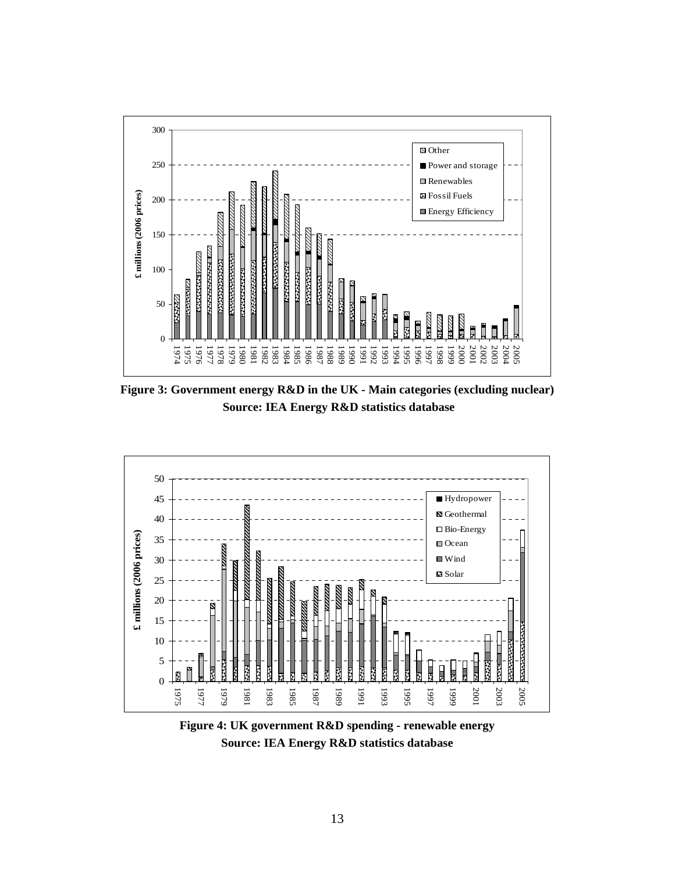

**Figure 3: Government energy R&D in the UK - Main categories (excluding nuclear) Source: IEA Energy R&D statistics database** 



**Figure 4: UK government R&D spending - renewable energy Source: IEA Energy R&D statistics database**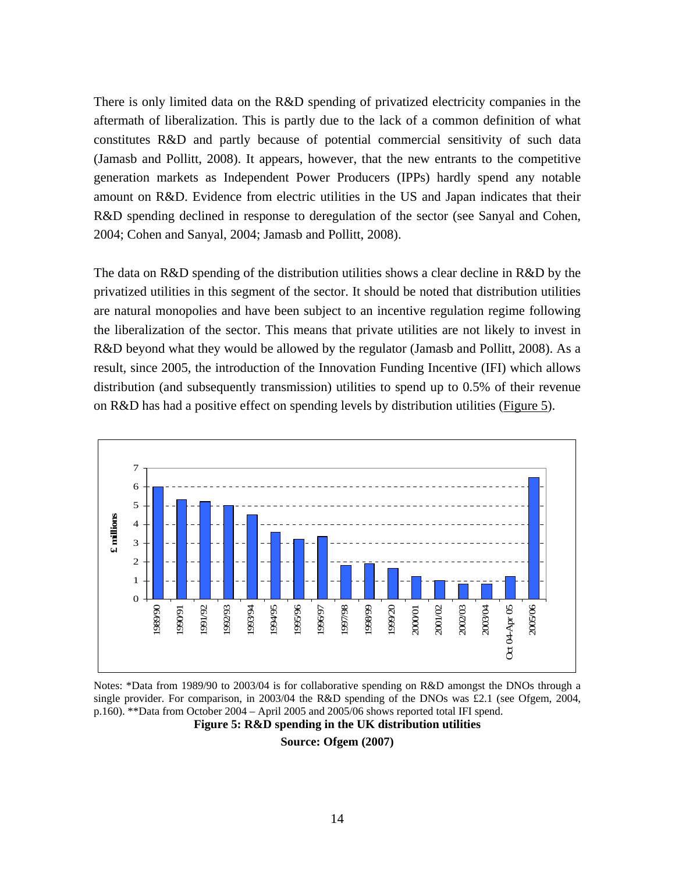There is only limited data on the R&D spending of privatized electricity companies in the aftermath of liberalization. This is partly due to the lack of a common definition of what constitutes R&D and partly because of potential commercial sensitivity of such data (Jamasb and Pollitt, 2008). It appears, however, that the new entrants to the competitive generation markets as Independent Power Producers (IPPs) hardly spend any notable amount on R&D. Evidence from electric utilities in the US and Japan indicates that their R&D spending declined in response to deregulation of the sector (see Sanyal and Cohen, 2004; Cohen and Sanyal, 2004; Jamasb and Pollitt, 2008).

The data on R&D spending of the distribution utilities shows a clear decline in R&D by the privatized utilities in this segment of the sector. It should be noted that distribution utilities are natural monopolies and have been subject to an incentive regulation regime following the liberalization of the sector. This means that private utilities are not likely to invest in R&D beyond what they would be allowed by the regulator (Jamasb and Pollitt, 2008). As a result, since 2005, the introduction of the Innovation Funding Incentive (IFI) which allows distribution (and subsequently transmission) utilities to spend up to 0.5% of their revenue on R&D has had a positive effect on spending levels by distribution utilities (Figure 5).



Notes: \*Data from 1989/90 to 2003/04 is for collaborative spending on R&D amongst the DNOs through a single provider. For comparison, in 2003/04 the R&D spending of the DNOs was £2.1 (see Ofgem, 2004, p.160). \*\*Data from October 2004 – April 2005 and 2005/06 shows reported total IFI spend.

**Figure 5: R&D spending in the UK distribution utilities** 

**Source: Ofgem (2007)**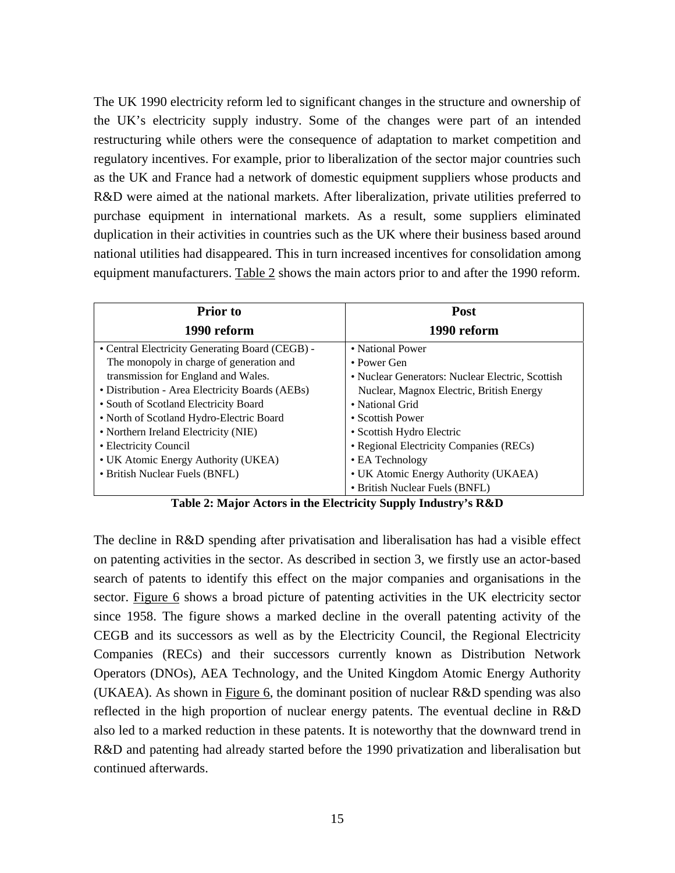The UK 1990 electricity reform led to significant changes in the structure and ownership of the UK's electricity supply industry. Some of the changes were part of an intended restructuring while others were the consequence of adaptation to market competition and regulatory incentives. For example, prior to liberalization of the sector major countries such as the UK and France had a network of domestic equipment suppliers whose products and R&D were aimed at the national markets. After liberalization, private utilities preferred to purchase equipment in international markets. As a result, some suppliers eliminated duplication in their activities in countries such as the UK where their business based around national utilities had disappeared. This in turn increased incentives for consolidation among equipment manufacturers. Table 2 shows the main actors prior to and after the 1990 reform.

| <b>Prior</b> to                                 | <b>Post</b>                                      |
|-------------------------------------------------|--------------------------------------------------|
| 1990 reform                                     | 1990 reform                                      |
| • Central Electricity Generating Board (CEGB) - | • National Power                                 |
| The monopoly in charge of generation and        | $\bullet$ Power Gen                              |
| transmission for England and Wales.             | • Nuclear Generators: Nuclear Electric, Scottish |
| • Distribution - Area Electricity Boards (AEBs) | Nuclear, Magnox Electric, British Energy         |
| • South of Scotland Electricity Board           | • National Grid                                  |
| • North of Scotland Hydro-Electric Board        | • Scottish Power                                 |
| • Northern Ireland Electricity (NIE)            | • Scottish Hydro Electric                        |
| • Electricity Council                           | • Regional Electricity Companies (RECs)          |
| • UK Atomic Energy Authority (UKEA)             | • EA Technology                                  |
| • British Nuclear Fuels (BNFL)                  | • UK Atomic Energy Authority (UKAEA)             |
|                                                 | • British Nuclear Fuels (BNFL)                   |

**Table 2: Major Actors in the Electricity Supply Industry's R&D** 

The decline in R&D spending after privatisation and liberalisation has had a visible effect on patenting activities in the sector. As described in section 3, we firstly use an actor-based search of patents to identify this effect on the major companies and organisations in the sector. Figure 6 shows a broad picture of patenting activities in the UK electricity sector since 1958. The figure shows a marked decline in the overall patenting activity of the CEGB and its successors as well as by the Electricity Council, the Regional Electricity Companies (RECs) and their successors currently known as Distribution Network Operators (DNOs), AEA Technology, and the United Kingdom Atomic Energy Authority (UKAEA). As shown in Figure 6, the dominant position of nuclear R&D spending was also reflected in the high proportion of nuclear energy patents. The eventual decline in R&D also led to a marked reduction in these patents. It is noteworthy that the downward trend in R&D and patenting had already started before the 1990 privatization and liberalisation but continued afterwards.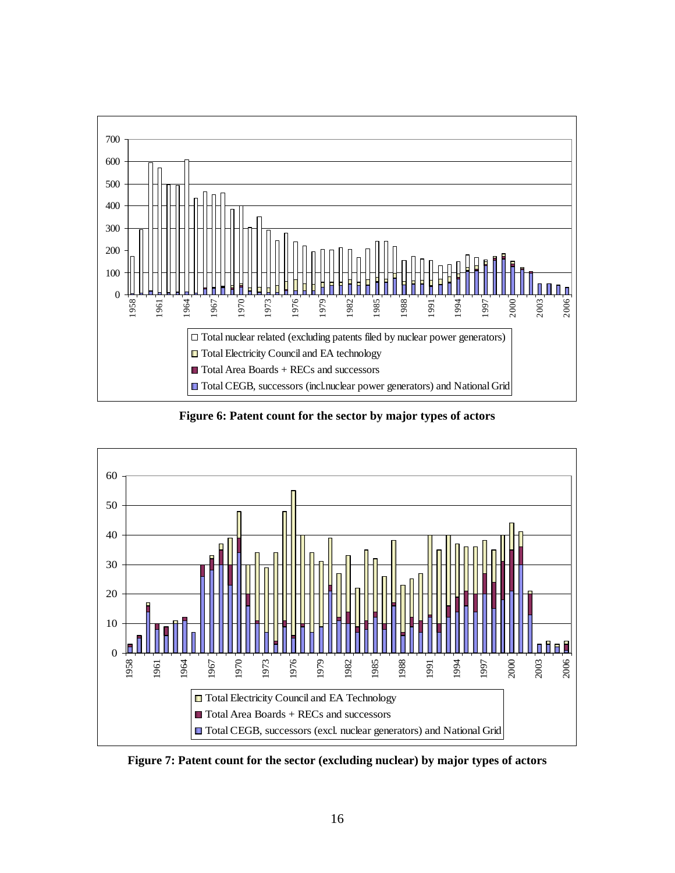

**Figure 6: Patent count for the sector by major types of actors** 



**Figure 7: Patent count for the sector (excluding nuclear) by major types of actors**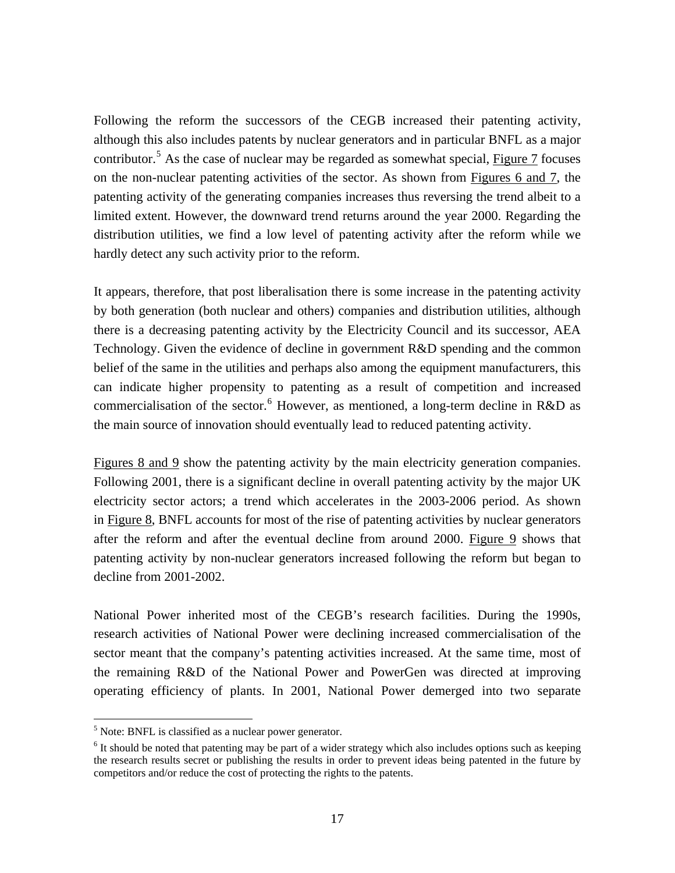Following the reform the successors of the CEGB increased their patenting activity, although this also includes patents by nuclear generators and in particular BNFL as a major contributor.<sup>[5](#page-19-0)</sup> As the case of nuclear may be regarded as somewhat special,  $Figure 7$  focuses</u> on the non-nuclear patenting activities of the sector. As shown from Figures 6 and 7, the patenting activity of the generating companies increases thus reversing the trend albeit to a limited extent. However, the downward trend returns around the year 2000. Regarding the distribution utilities, we find a low level of patenting activity after the reform while we hardly detect any such activity prior to the reform.

It appears, therefore, that post liberalisation there is some increase in the patenting activity by both generation (both nuclear and others) companies and distribution utilities, although there is a decreasing patenting activity by the Electricity Council and its successor, AEA Technology. Given the evidence of decline in government R&D spending and the common belief of the same in the utilities and perhaps also among the equipment manufacturers, this can indicate higher propensity to patenting as a result of competition and increased commercialisation of the sector.<sup>[6](#page-19-1)</sup> However, as mentioned, a long-term decline in R&D as the main source of innovation should eventually lead to reduced patenting activity.

Figures 8 and 9 show the patenting activity by the main electricity generation companies. Following 2001, there is a significant decline in overall patenting activity by the major UK electricity sector actors; a trend which accelerates in the 2003-2006 period. As shown in Figure 8, BNFL accounts for most of the rise of patenting activities by nuclear generators after the reform and after the eventual decline from around 2000. Figure 9 shows that patenting activity by non-nuclear generators increased following the reform but began to decline from 2001-2002.

National Power inherited most of the CEGB's research facilities. During the 1990s, research activities of National Power were declining increased commercialisation of the sector meant that the company's patenting activities increased. At the same time, most of the remaining R&D of the National Power and PowerGen was directed at improving operating efficiency of plants. In 2001, National Power demerged into two separate

<span id="page-19-0"></span><sup>-&</sup>lt;br><sup>5</sup> Note: BNFL is classified as a nuclear power generator.

<span id="page-19-1"></span> $6$  It should be noted that patenting may be part of a wider strategy which also includes options such as keeping the research results secret or publishing the results in order to prevent ideas being patented in the future by competitors and/or reduce the cost of protecting the rights to the patents.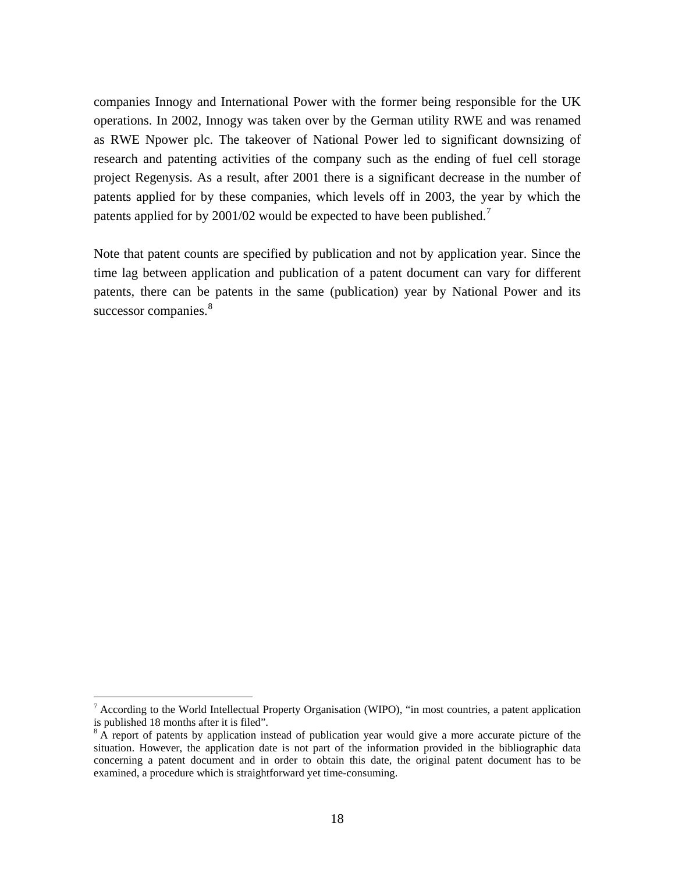companies Innogy and International Power with the former being responsible for the UK operations. In 2002, Innogy was taken over by the German utility RWE and was renamed as RWE Npower plc. The takeover of National Power led to significant downsizing of research and patenting activities of the company such as the ending of fuel cell storage project Regenysis. As a result, after 2001 there is a significant decrease in the number of patents applied for by these companies, which levels off in 2003, the year by which the patents applied for by 2001/02 would be expected to have been published.<sup>[7](#page-20-0)</sup>

Note that patent counts are specified by publication and not by application year. Since the time lag between application and publication of a patent document can vary for different patents, there can be patents in the same (publication) year by National Power and its successor companies.<sup>[8](#page-20-1)</sup>

<u>.</u>

<span id="page-20-0"></span> $<sup>7</sup>$  According to the World Intellectual Property Organisation (WIPO), "in most countries, a patent application</sup> is published 18 months after it is filed".

<span id="page-20-1"></span> $8$  A report of patents by application instead of publication year would give a more accurate picture of the situation. However, the application date is not part of the information provided in the bibliographic data concerning a patent document and in order to obtain this date, the original patent document has to be examined, a procedure which is straightforward yet time-consuming.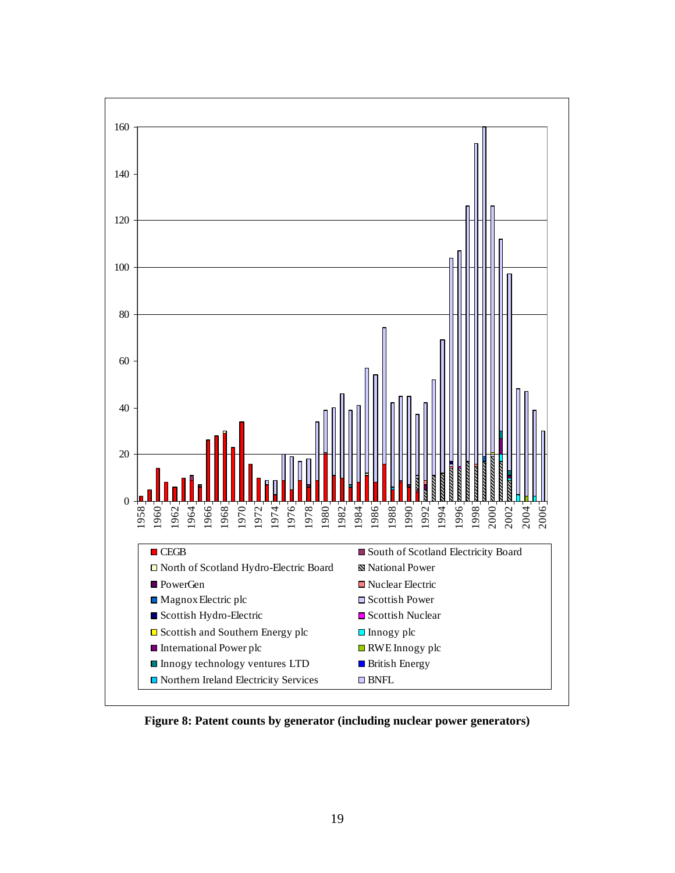

**Figure 8: Patent counts by generator (including nuclear power generators)**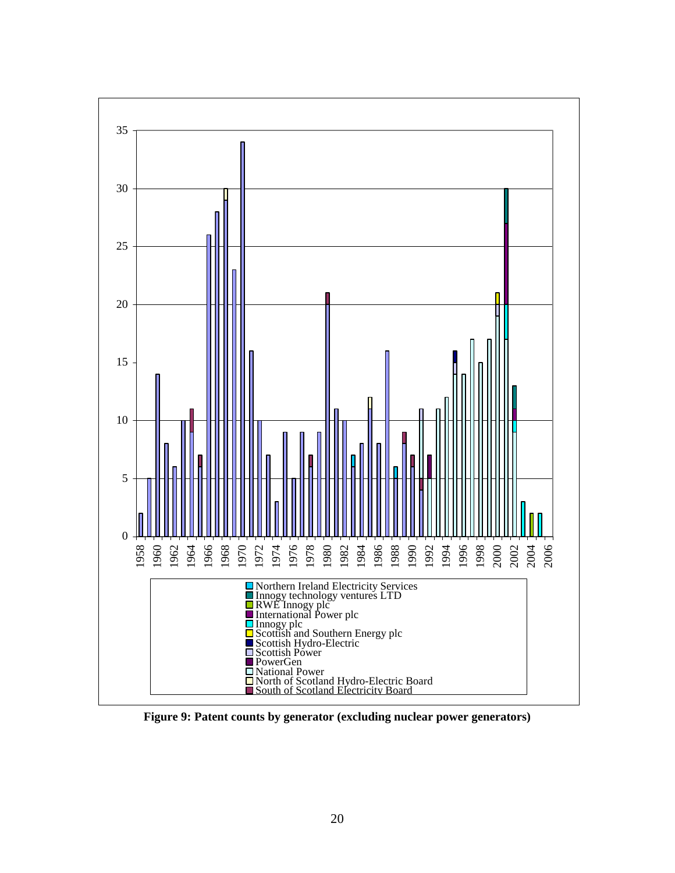

**Figure 9: Patent counts by generator (excluding nuclear power generators)**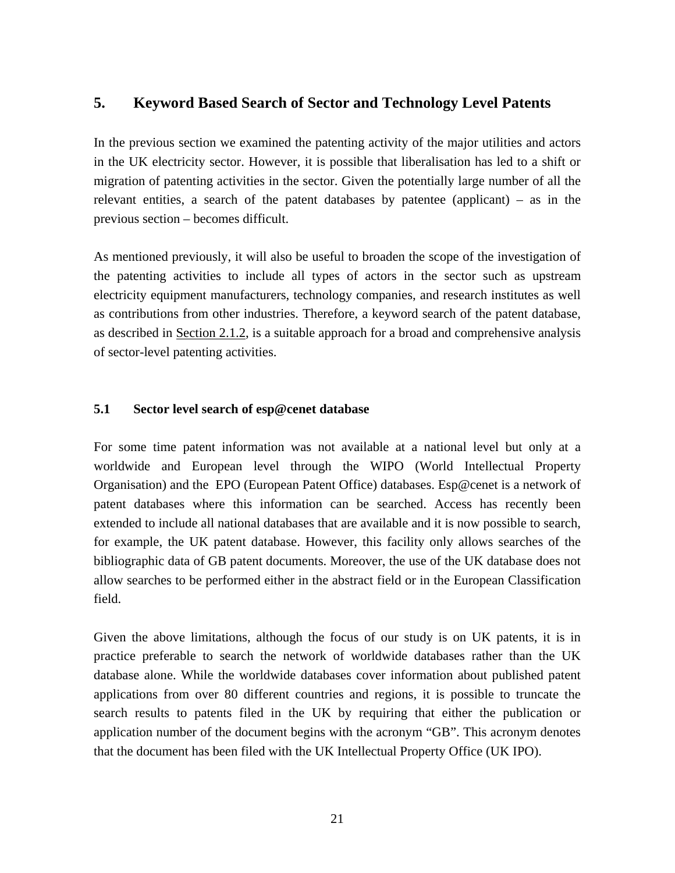## **5. Keyword Based Search of Sector and Technology Level Patents**

In the previous section we examined the patenting activity of the major utilities and actors in the UK electricity sector. However, it is possible that liberalisation has led to a shift or migration of patenting activities in the sector. Given the potentially large number of all the relevant entities, a search of the patent databases by patentee (applicant) – as in the previous section – becomes difficult.

As mentioned previously, it will also be useful to broaden the scope of the investigation of the patenting activities to include all types of actors in the sector such as upstream electricity equipment manufacturers, technology companies, and research institutes as well as contributions from other industries. Therefore, a keyword search of the patent database, as described in Section 2.1.2, is a suitable approach for a broad and comprehensive analysis of sector-level patenting activities.

#### **5.1 Sector level search of esp@cenet database**

For some time patent information was not available at a national level but only at a worldwide and European level through the WIPO (World Intellectual Property Organisation) and the EPO (European Patent Office) databases. Esp@cenet is a network of patent databases where this information can be searched. Access has recently been extended to include all national databases that are available and it is now possible to search, for example, the UK patent database. However, this facility only allows searches of the bibliographic data of GB patent documents. Moreover, the use of the UK database does not allow searches to be performed either in the abstract field or in the European Classification field.

Given the above limitations, although the focus of our study is on UK patents, it is in practice preferable to search the network of worldwide databases rather than the UK database alone. While the worldwide databases cover information about published patent applications from over 80 different countries and regions, it is possible to truncate the search results to patents filed in the UK by requiring that either the publication or application number of the document begins with the acronym "GB". This acronym denotes that the document has been filed with the UK Intellectual Property Office (UK IPO).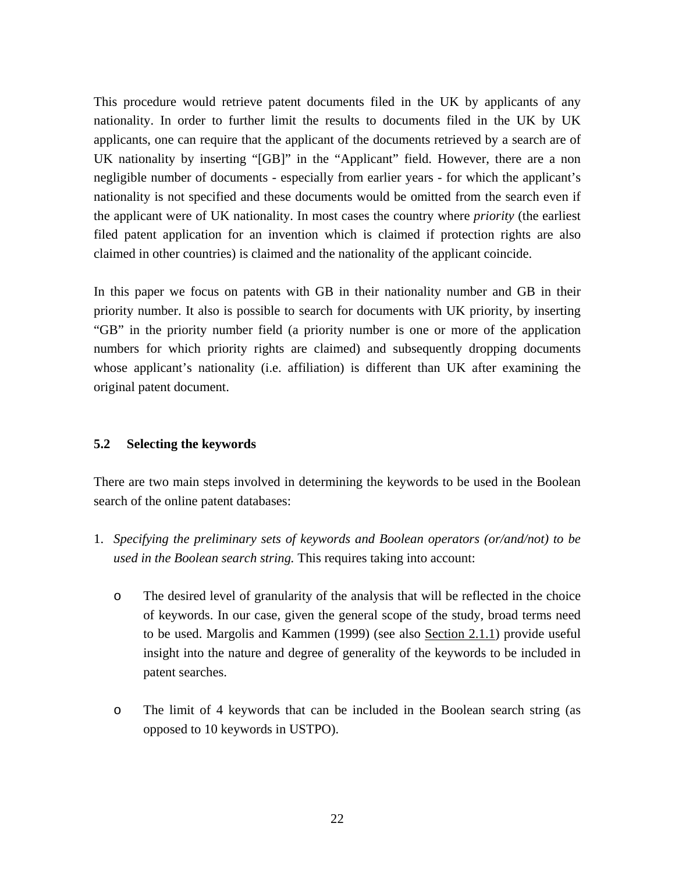This procedure would retrieve patent documents filed in the UK by applicants of any nationality. In order to further limit the results to documents filed in the UK by UK applicants, one can require that the applicant of the documents retrieved by a search are of UK nationality by inserting "[GB]" in the "Applicant" field. However, there are a non negligible number of documents - especially from earlier years - for which the applicant's nationality is not specified and these documents would be omitted from the search even if the applicant were of UK nationality. In most cases the country where *priority* (the earliest filed patent application for an invention which is claimed if protection rights are also claimed in other countries) is claimed and the nationality of the applicant coincide.

In this paper we focus on patents with GB in their nationality number and GB in their priority number. It also is possible to search for documents with UK priority, by inserting "GB" in the priority number field (a priority number is one or more of the application numbers for which priority rights are claimed) and subsequently dropping documents whose applicant's nationality (i.e. affiliation) is different than UK after examining the original patent document.

## **5.2 Selecting the keywords**

There are two main steps involved in determining the keywords to be used in the Boolean search of the online patent databases:

- 1. *Specifying the preliminary sets of keywords and Boolean operators (or/and/not) to be used in the Boolean search string.* This requires taking into account:
	- o The desired level of granularity of the analysis that will be reflected in the choice of keywords. In our case, given the general scope of the study, broad terms need to be used. Margolis and Kammen (1999) (see also Section 2.1.1) provide useful insight into the nature and degree of generality of the keywords to be included in patent searches.
	- o The limit of 4 keywords that can be included in the Boolean search string (as opposed to 10 keywords in USTPO).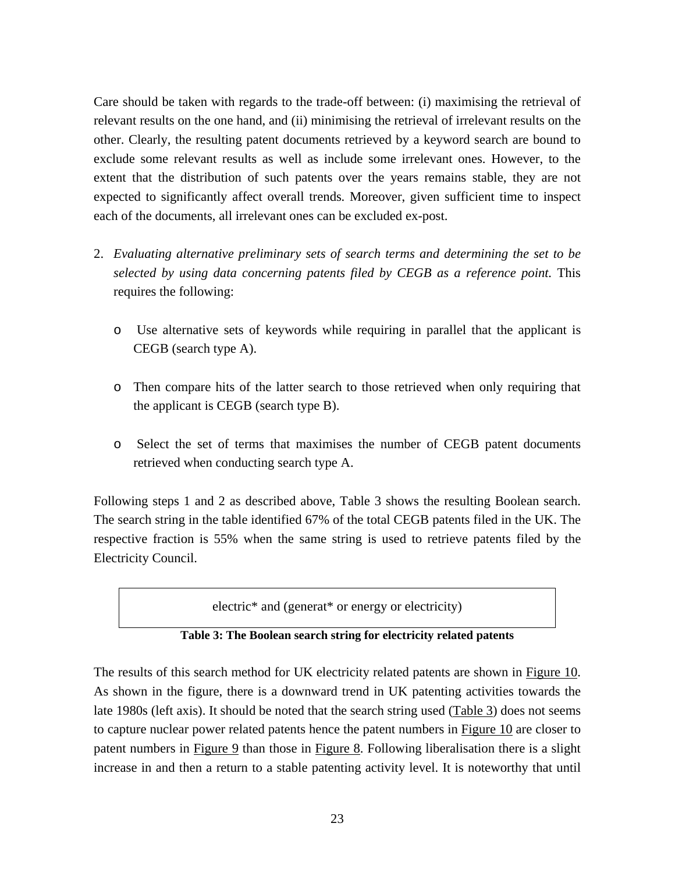Care should be taken with regards to the trade-off between: (i) maximising the retrieval of relevant results on the one hand, and (ii) minimising the retrieval of irrelevant results on the other. Clearly, the resulting patent documents retrieved by a keyword search are bound to exclude some relevant results as well as include some irrelevant ones. However, to the extent that the distribution of such patents over the years remains stable, they are not expected to significantly affect overall trends. Moreover, given sufficient time to inspect each of the documents, all irrelevant ones can be excluded ex-post.

- 2. *Evaluating alternative preliminary sets of search terms and determining the set to be selected by using data concerning patents filed by CEGB as a reference point.* This requires the following:
	- o Use alternative sets of keywords while requiring in parallel that the applicant is CEGB (search type A).
	- o Then compare hits of the latter search to those retrieved when only requiring that the applicant is CEGB (search type B).
	- o Select the set of terms that maximises the number of CEGB patent documents retrieved when conducting search type A.

Following steps 1 and 2 as described above, Table 3 shows the resulting Boolean search. The search string in the table identified 67% of the total CEGB patents filed in the UK. The respective fraction is 55% when the same string is used to retrieve patents filed by the Electricity Council.

electric\* and (generat\* or energy or electricity)

**Table 3: The Boolean search string for electricity related patents** 

The results of this search method for UK electricity related patents are shown in Figure 10. As shown in the figure, there is a downward trend in UK patenting activities towards the late 1980s (left axis). It should be noted that the search string used (Table 3) does not seems to capture nuclear power related patents hence the patent numbers in Figure 10 are closer to patent numbers in Figure 9 than those in Figure 8. Following liberalisation there is a slight increase in and then a return to a stable patenting activity level. It is noteworthy that until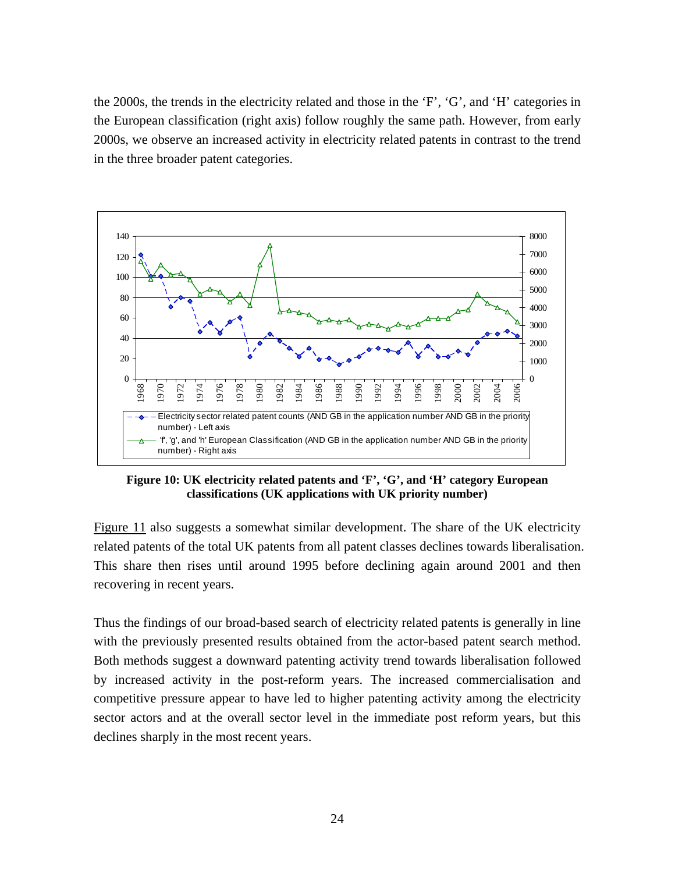the 2000s, the trends in the electricity related and those in the 'F', 'G', and 'H' categories in the European classification (right axis) follow roughly the same path. However, from early 2000s, we observe an increased activity in electricity related patents in contrast to the trend in the three broader patent categories.



**Figure 10: UK electricity related patents and 'F', 'G', and 'H' category European classifications (UK applications with UK priority number)** 

Figure 11 also suggests a somewhat similar development. The share of the UK electricity related patents of the total UK patents from all patent classes declines towards liberalisation. This share then rises until around 1995 before declining again around 2001 and then recovering in recent years.

Thus the findings of our broad-based search of electricity related patents is generally in line with the previously presented results obtained from the actor-based patent search method. Both methods suggest a downward patenting activity trend towards liberalisation followed by increased activity in the post-reform years. The increased commercialisation and competitive pressure appear to have led to higher patenting activity among the electricity sector actors and at the overall sector level in the immediate post reform years, but this declines sharply in the most recent years.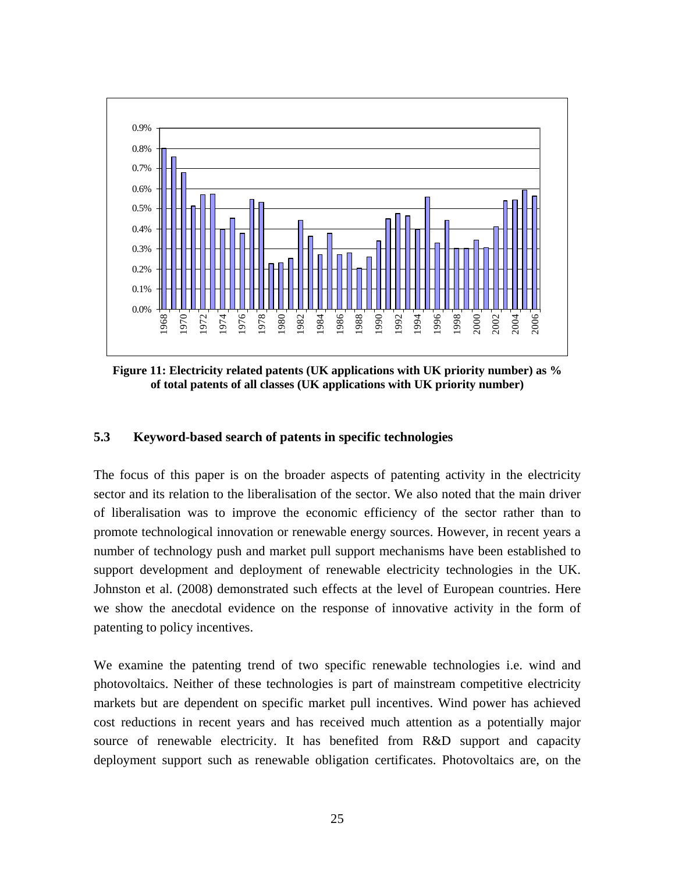

**Figure 11: Electricity related patents (UK applications with UK priority number) as % of total patents of all classes (UK applications with UK priority number)** 

#### **5.3 Keyword-based search of patents in specific technologies**

The focus of this paper is on the broader aspects of patenting activity in the electricity sector and its relation to the liberalisation of the sector. We also noted that the main driver of liberalisation was to improve the economic efficiency of the sector rather than to promote technological innovation or renewable energy sources. However, in recent years a number of technology push and market pull support mechanisms have been established to support development and deployment of renewable electricity technologies in the UK. Johnston et al. (2008) demonstrated such effects at the level of European countries. Here we show the anecdotal evidence on the response of innovative activity in the form of patenting to policy incentives.

We examine the patenting trend of two specific renewable technologies i.e. wind and photovoltaics. Neither of these technologies is part of mainstream competitive electricity markets but are dependent on specific market pull incentives. Wind power has achieved cost reductions in recent years and has received much attention as a potentially major source of renewable electricity. It has benefited from R&D support and capacity deployment support such as renewable obligation certificates. Photovoltaics are, on the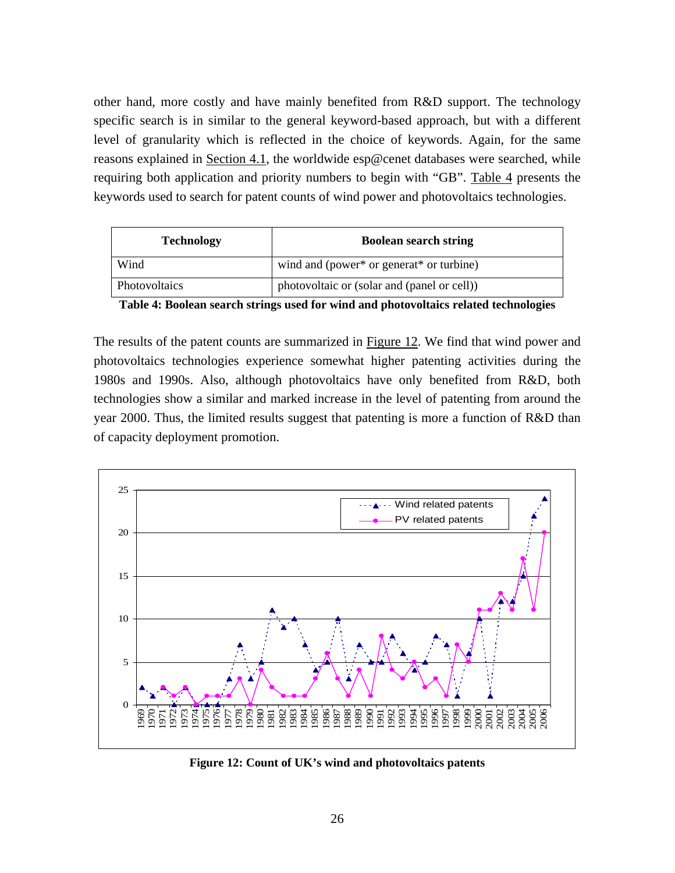other hand, more costly and have mainly benefited from R&D support. The technology specific search is in similar to the general keyword-based approach, but with a different level of granularity which is reflected in the choice of keywords. Again, for the same reasons explained in Section 4.1, the worldwide esp@cenet databases were searched, while requiring both application and priority numbers to begin with "GB". Table 4 presents the keywords used to search for patent counts of wind power and photovoltaics technologies.

| <b>Technology</b> | <b>Boolean search string</b>                |  |
|-------------------|---------------------------------------------|--|
| Wind              | wind and (power* or generat* or turbine)    |  |
| Photovoltaics     | photovoltaic or (solar and (panel or cell)) |  |

**Table 4: Boolean search strings used for wind and photovoltaics related technologies** 

The results of the patent counts are summarized in Figure 12. We find that wind power and photovoltaics technologies experience somewhat higher patenting activities during the 1980s and 1990s. Also, although photovoltaics have only benefited from R&D, both technologies show a similar and marked increase in the level of patenting from around the year 2000. Thus, the limited results suggest that patenting is more a function of R&D than of capacity deployment promotion.



**Figure 12: Count of UK's wind and photovoltaics patents**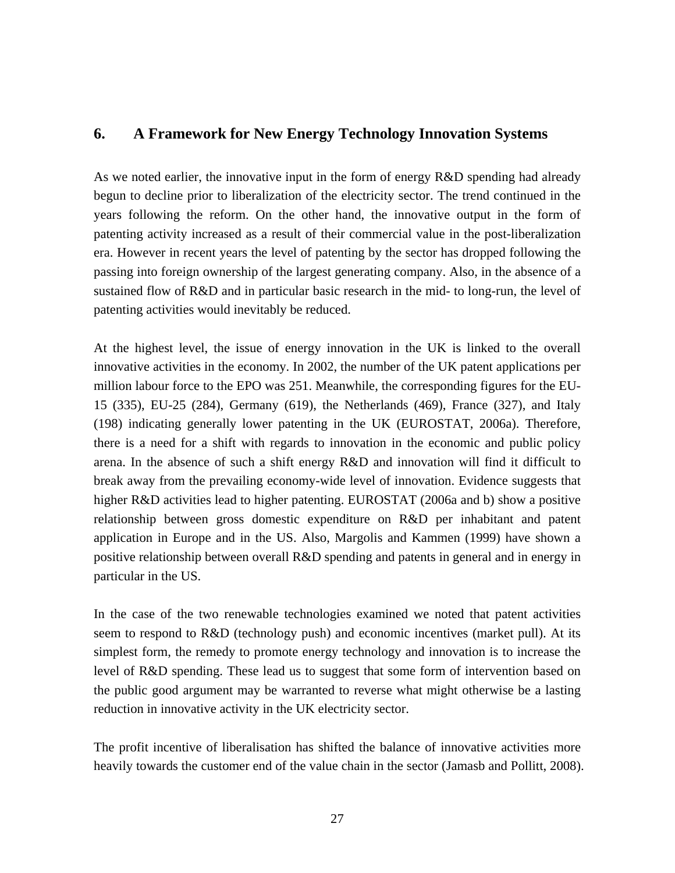## **6. A Framework for New Energy Technology Innovation Systems**

As we noted earlier, the innovative input in the form of energy R&D spending had already begun to decline prior to liberalization of the electricity sector. The trend continued in the years following the reform. On the other hand, the innovative output in the form of patenting activity increased as a result of their commercial value in the post-liberalization era. However in recent years the level of patenting by the sector has dropped following the passing into foreign ownership of the largest generating company. Also, in the absence of a sustained flow of R&D and in particular basic research in the mid- to long-run, the level of patenting activities would inevitably be reduced.

At the highest level, the issue of energy innovation in the UK is linked to the overall innovative activities in the economy. In 2002, the number of the UK patent applications per million labour force to the EPO was 251. Meanwhile, the corresponding figures for the EU-15 (335), EU-25 (284), Germany (619), the Netherlands (469), France (327), and Italy (198) indicating generally lower patenting in the UK (EUROSTAT, 2006a). Therefore, there is a need for a shift with regards to innovation in the economic and public policy arena. In the absence of such a shift energy R&D and innovation will find it difficult to break away from the prevailing economy-wide level of innovation. Evidence suggests that higher R&D activities lead to higher patenting. EUROSTAT (2006a and b) show a positive relationship between gross domestic expenditure on R&D per inhabitant and patent application in Europe and in the US. Also, Margolis and Kammen (1999) have shown a positive relationship between overall R&D spending and patents in general and in energy in particular in the US.

In the case of the two renewable technologies examined we noted that patent activities seem to respond to R&D (technology push) and economic incentives (market pull). At its simplest form, the remedy to promote energy technology and innovation is to increase the level of R&D spending. These lead us to suggest that some form of intervention based on the public good argument may be warranted to reverse what might otherwise be a lasting reduction in innovative activity in the UK electricity sector.

The profit incentive of liberalisation has shifted the balance of innovative activities more heavily towards the customer end of the value chain in the sector (Jamasb and Pollitt, 2008).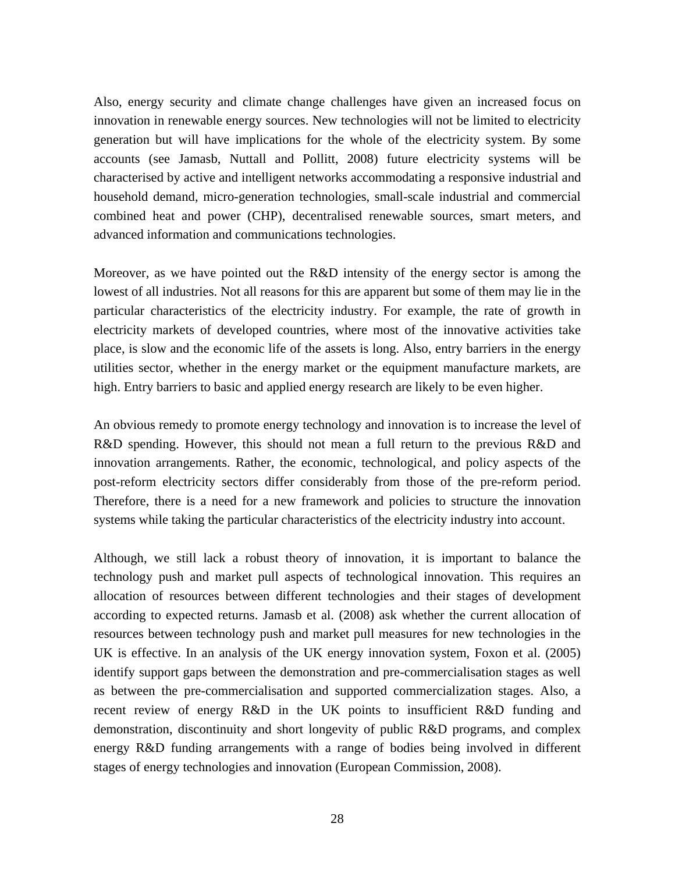Also, energy security and climate change challenges have given an increased focus on innovation in renewable energy sources. New technologies will not be limited to electricity generation but will have implications for the whole of the electricity system. By some accounts (see Jamasb, Nuttall and Pollitt, 2008) future electricity systems will be characterised by active and intelligent networks accommodating a responsive industrial and household demand, micro-generation technologies, small-scale industrial and commercial combined heat and power (CHP), decentralised renewable sources, smart meters, and advanced information and communications technologies.

Moreover, as we have pointed out the R&D intensity of the energy sector is among the lowest of all industries. Not all reasons for this are apparent but some of them may lie in the particular characteristics of the electricity industry. For example, the rate of growth in electricity markets of developed countries, where most of the innovative activities take place, is slow and the economic life of the assets is long. Also, entry barriers in the energy utilities sector, whether in the energy market or the equipment manufacture markets, are high. Entry barriers to basic and applied energy research are likely to be even higher.

An obvious remedy to promote energy technology and innovation is to increase the level of R&D spending. However, this should not mean a full return to the previous R&D and innovation arrangements. Rather, the economic, technological, and policy aspects of the post-reform electricity sectors differ considerably from those of the pre-reform period. Therefore, there is a need for a new framework and policies to structure the innovation systems while taking the particular characteristics of the electricity industry into account.

Although, we still lack a robust theory of innovation, it is important to balance the technology push and market pull aspects of technological innovation. This requires an allocation of resources between different technologies and their stages of development according to expected returns. Jamasb et al. (2008) ask whether the current allocation of resources between technology push and market pull measures for new technologies in the UK is effective. In an analysis of the UK energy innovation system, Foxon et al. (2005) identify support gaps between the demonstration and pre-commercialisation stages as well as between the pre-commercialisation and supported commercialization stages. Also, a recent review of energy R&D in the UK points to insufficient R&D funding and demonstration, discontinuity and short longevity of public R&D programs, and complex energy R&D funding arrangements with a range of bodies being involved in different stages of energy technologies and innovation (European Commission, 2008).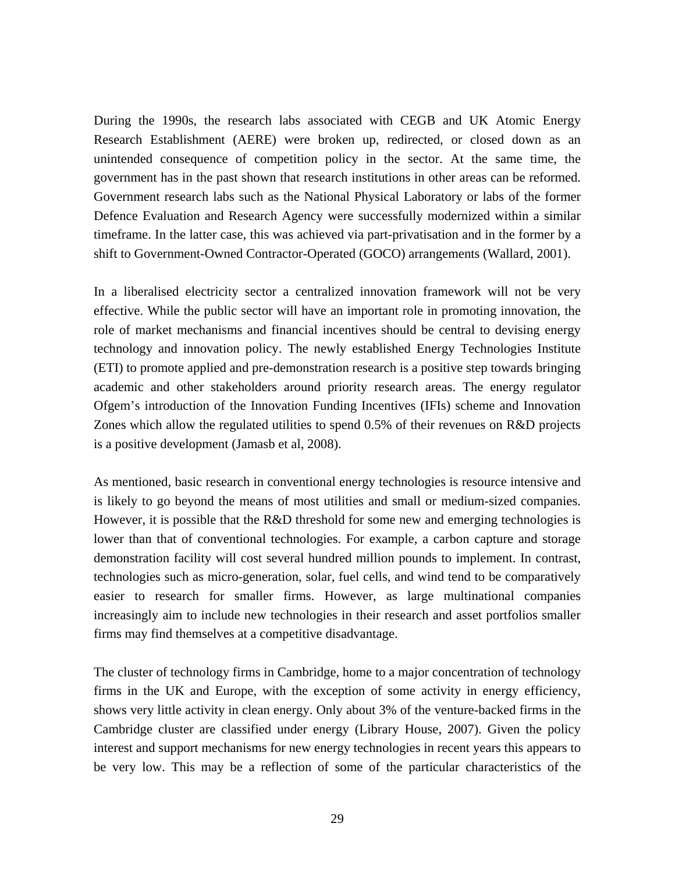During the 1990s, the research labs associated with CEGB and UK Atomic Energy Research Establishment (AERE) were broken up, redirected, or closed down as an unintended consequence of competition policy in the sector. At the same time, the government has in the past shown that research institutions in other areas can be reformed. Government research labs such as the National Physical Laboratory or labs of the former Defence Evaluation and Research Agency were successfully modernized within a similar timeframe. In the latter case, this was achieved via part-privatisation and in the former by a shift to Government-Owned Contractor-Operated (GOCO) arrangements (Wallard, 2001).

In a liberalised electricity sector a centralized innovation framework will not be very effective. While the public sector will have an important role in promoting innovation, the role of market mechanisms and financial incentives should be central to devising energy technology and innovation policy. The newly established Energy Technologies Institute (ETI) to promote applied and pre-demonstration research is a positive step towards bringing academic and other stakeholders around priority research areas. The energy regulator Ofgem's introduction of the Innovation Funding Incentives (IFIs) scheme and Innovation Zones which allow the regulated utilities to spend 0.5% of their revenues on R&D projects is a positive development (Jamasb et al, 2008).

As mentioned, basic research in conventional energy technologies is resource intensive and is likely to go beyond the means of most utilities and small or medium-sized companies. However, it is possible that the R&D threshold for some new and emerging technologies is lower than that of conventional technologies. For example, a carbon capture and storage demonstration facility will cost several hundred million pounds to implement. In contrast, technologies such as micro-generation, solar, fuel cells, and wind tend to be comparatively easier to research for smaller firms. However, as large multinational companies increasingly aim to include new technologies in their research and asset portfolios smaller firms may find themselves at a competitive disadvantage.

The cluster of technology firms in Cambridge, home to a major concentration of technology firms in the UK and Europe, with the exception of some activity in energy efficiency, shows very little activity in clean energy. Only about 3% of the venture-backed firms in the Cambridge cluster are classified under energy (Library House, 2007). Given the policy interest and support mechanisms for new energy technologies in recent years this appears to be very low. This may be a reflection of some of the particular characteristics of the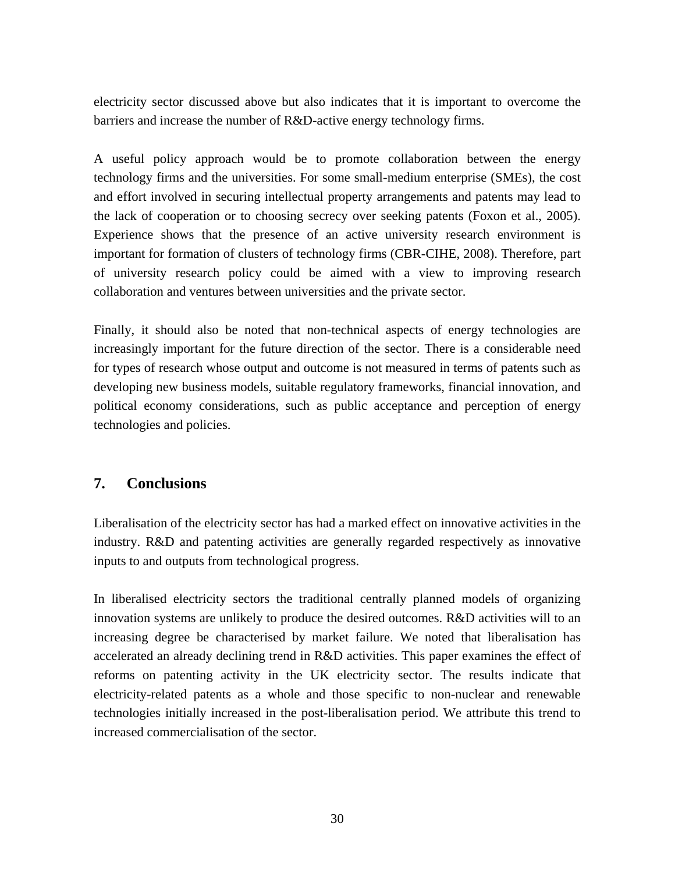electricity sector discussed above but also indicates that it is important to overcome the barriers and increase the number of R&D-active energy technology firms.

A useful policy approach would be to promote collaboration between the energy technology firms and the universities. For some small-medium enterprise (SMEs), the cost and effort involved in securing intellectual property arrangements and patents may lead to the lack of cooperation or to choosing secrecy over seeking patents (Foxon et al., 2005). Experience shows that the presence of an active university research environment is important for formation of clusters of technology firms (CBR-CIHE, 2008). Therefore, part of university research policy could be aimed with a view to improving research collaboration and ventures between universities and the private sector.

Finally, it should also be noted that non-technical aspects of energy technologies are increasingly important for the future direction of the sector. There is a considerable need for types of research whose output and outcome is not measured in terms of patents such as developing new business models, suitable regulatory frameworks, financial innovation, and political economy considerations, such as public acceptance and perception of energy technologies and policies.

## **7. Conclusions**

Liberalisation of the electricity sector has had a marked effect on innovative activities in the industry. R&D and patenting activities are generally regarded respectively as innovative inputs to and outputs from technological progress.

In liberalised electricity sectors the traditional centrally planned models of organizing innovation systems are unlikely to produce the desired outcomes. R&D activities will to an increasing degree be characterised by market failure. We noted that liberalisation has accelerated an already declining trend in R&D activities. This paper examines the effect of reforms on patenting activity in the UK electricity sector. The results indicate that electricity-related patents as a whole and those specific to non-nuclear and renewable technologies initially increased in the post-liberalisation period. We attribute this trend to increased commercialisation of the sector.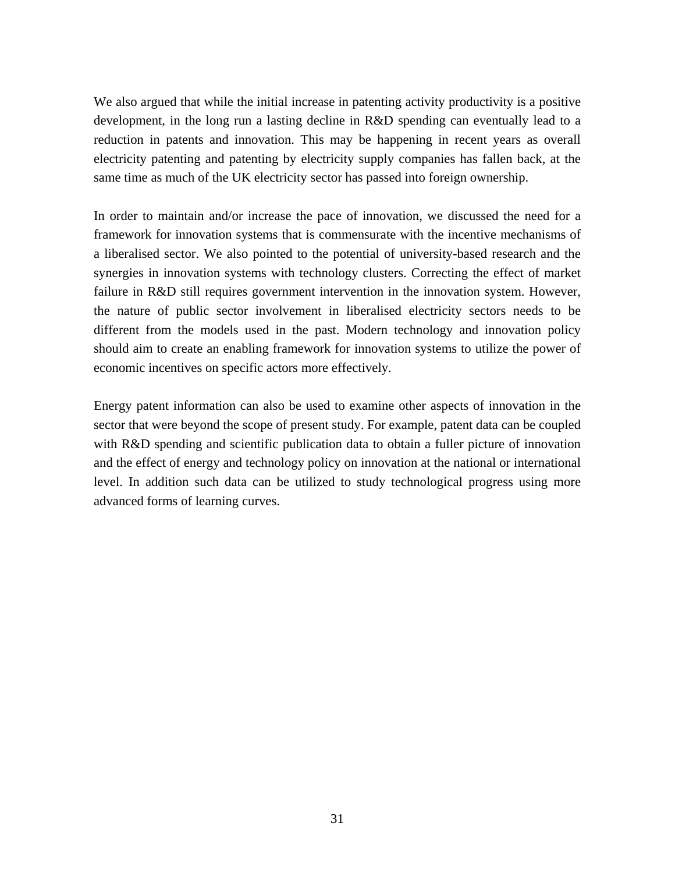We also argued that while the initial increase in patenting activity productivity is a positive development, in the long run a lasting decline in R&D spending can eventually lead to a reduction in patents and innovation. This may be happening in recent years as overall electricity patenting and patenting by electricity supply companies has fallen back, at the same time as much of the UK electricity sector has passed into foreign ownership.

In order to maintain and/or increase the pace of innovation, we discussed the need for a framework for innovation systems that is commensurate with the incentive mechanisms of a liberalised sector. We also pointed to the potential of university-based research and the synergies in innovation systems with technology clusters. Correcting the effect of market failure in R&D still requires government intervention in the innovation system. However, the nature of public sector involvement in liberalised electricity sectors needs to be different from the models used in the past. Modern technology and innovation policy should aim to create an enabling framework for innovation systems to utilize the power of economic incentives on specific actors more effectively.

Energy patent information can also be used to examine other aspects of innovation in the sector that were beyond the scope of present study. For example, patent data can be coupled with R&D spending and scientific publication data to obtain a fuller picture of innovation and the effect of energy and technology policy on innovation at the national or international level. In addition such data can be utilized to study technological progress using more advanced forms of learning curves.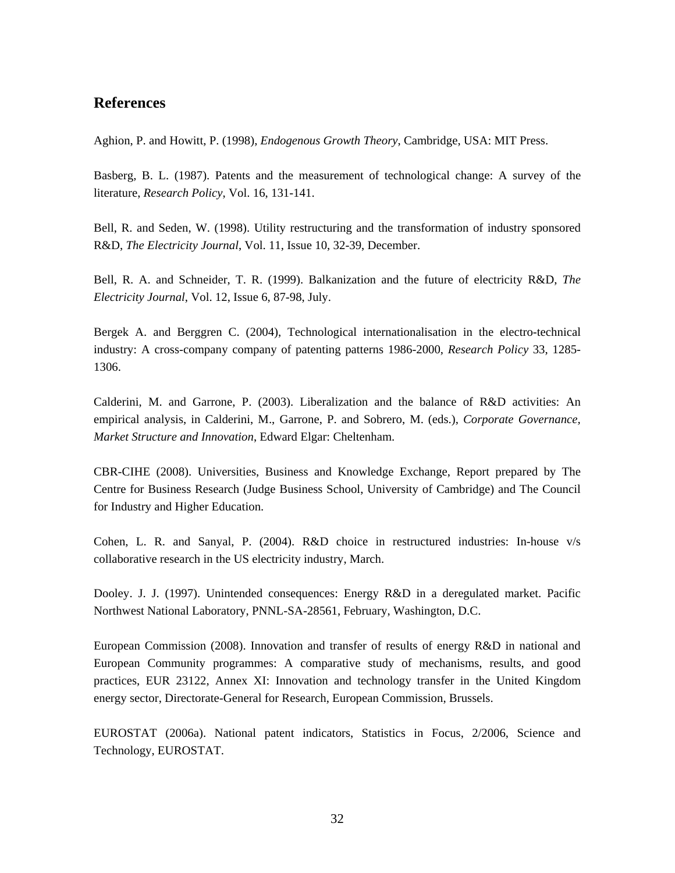## **References**

Aghion, P. and Howitt, P. (1998), *Endogenous Growth Theory*, Cambridge, USA: MIT Press.

Basberg, B. L. (1987). Patents and the measurement of technological change: A survey of the literature, *Research Policy*, Vol. 16, 131-141.

Bell, R. and Seden, W. (1998). Utility restructuring and the transformation of industry sponsored R&D, *The Electricity Journal*, Vol. 11, Issue 10, 32-39, December.

Bell, R. A. and Schneider, T. R. (1999). Balkanization and the future of electricity R&D, *The Electricity Journal*, Vol. 12, Issue 6, 87-98, July.

Bergek A. and Berggren C. (2004), Technological internationalisation in the electro-technical industry: A cross-company company of patenting patterns 1986-2000, *Research Policy* 33, 1285- 1306.

Calderini, M. and Garrone, P. (2003). Liberalization and the balance of R&D activities: An empirical analysis, in Calderini, M., Garrone, P. and Sobrero, M. (eds.), *Corporate Governance, Market Structure and Innovation*, Edward Elgar: Cheltenham.

CBR-CIHE (2008). Universities, Business and Knowledge Exchange, Report prepared by The Centre for Business Research (Judge Business School, University of Cambridge) and The Council for Industry and Higher Education.

Cohen, L. R. and Sanyal, P. (2004). R&D choice in restructured industries: In-house v/s collaborative research in the US electricity industry, March.

Dooley. J. J. (1997). Unintended consequences: Energy R&D in a deregulated market. Pacific Northwest National Laboratory, PNNL-SA-28561, February, Washington, D.C.

European Commission (2008). Innovation and transfer of results of energy R&D in national and European Community programmes: A comparative study of mechanisms, results, and good practices, EUR 23122, Annex XI: Innovation and technology transfer in the United Kingdom energy sector, Directorate-General for Research, European Commission, Brussels.

EUROSTAT (2006a). National patent indicators, Statistics in Focus, 2/2006, Science and Technology, EUROSTAT.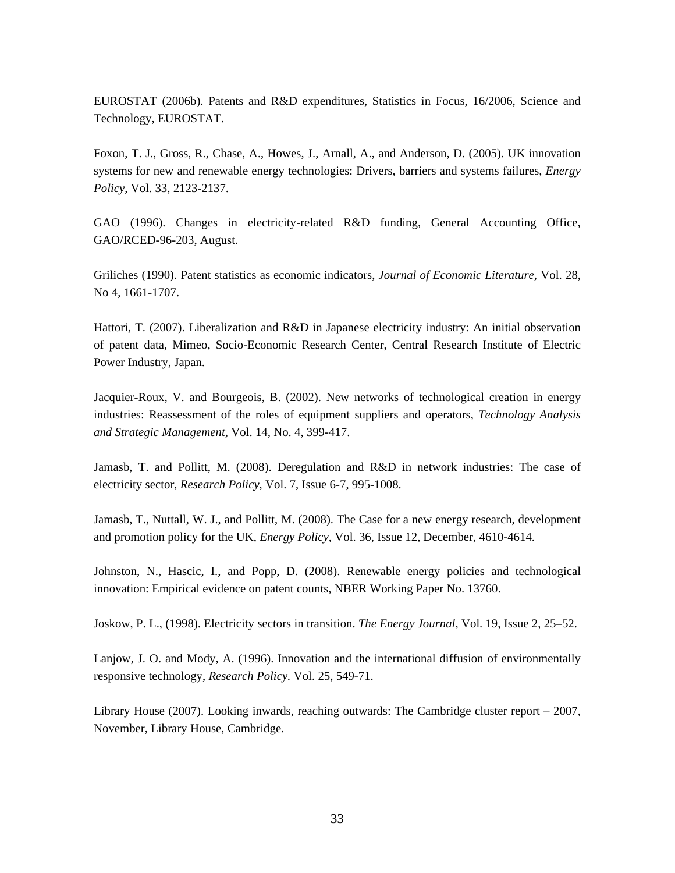EUROSTAT (2006b). Patents and R&D expenditures, Statistics in Focus, 16/2006, Science and Technology, EUROSTAT.

Foxon, T. J., Gross, R., Chase, A., Howes, J., Arnall, A., and Anderson, D. (2005). UK innovation systems for new and renewable energy technologies: Drivers, barriers and systems failures, *Energy Policy*, Vol. 33, 2123-2137.

GAO (1996). Changes in electricity-related R&D funding, General Accounting Office, GAO/RCED-96-203, August.

Griliches (1990). Patent statistics as economic indicators, *Journal of Economic Literature,* Vol. 28, No 4, 1661-1707.

Hattori, T. (2007). Liberalization and R&D in Japanese electricity industry: An initial observation of patent data, Mimeo, Socio-Economic Research Center, Central Research Institute of Electric Power Industry, Japan.

Jacquier-Roux, V. and Bourgeois, B. (2002). New networks of technological creation in energy industries: Reassessment of the roles of equipment suppliers and operators, *Technology Analysis and Strategic Management*, Vol. 14, No. 4, 399-417.

Jamasb, T. and Pollitt, M. (2008). Deregulation and R&D in network industries: The case of electricity sector, *Research Policy*, Vol. 7, Issue 6-7, 995-1008.

Jamasb, T., Nuttall, W. J., and Pollitt, M. (2008). The Case for a new energy research, development and promotion policy for the UK, *Energy Policy*, Vol. 36, Issue 12, December, 4610-4614.

Johnston, N., Hascic, I., and Popp, D. (2008). Renewable energy policies and technological innovation: Empirical evidence on patent counts, NBER Working Paper No. 13760.

Joskow, P. L., (1998). Electricity sectors in transition. *The Energy Journal,* Vol. 19, Issue 2, 25–52.

Lanjow, J. O. and Mody, A. (1996). Innovation and the international diffusion of environmentally responsive technology, *Research Policy.* Vol. 25, 549-71.

Library House (2007). Looking inwards, reaching outwards: The Cambridge cluster report – 2007, November, Library House, Cambridge.